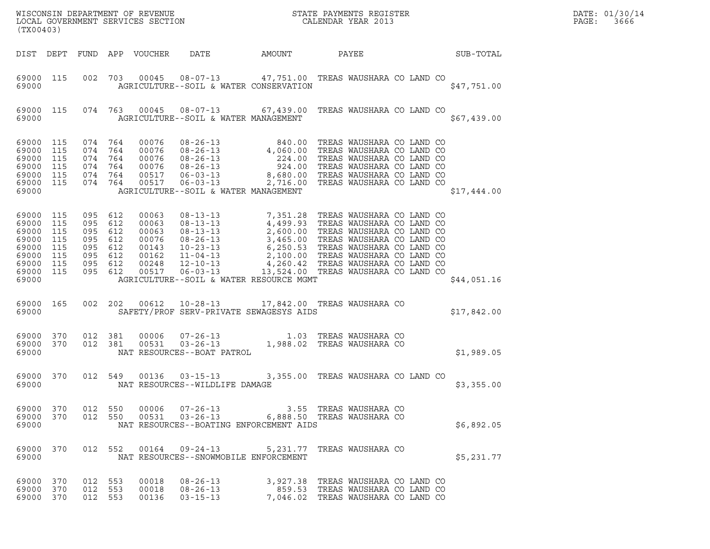| (TX00403)                                                                             |                                        |                                                                                      |                            |                                                                                                                                              |                                                                        |                                    |  |                  | DATE: 01/30/14<br>PAGE:<br>3666 |
|---------------------------------------------------------------------------------------|----------------------------------------|--------------------------------------------------------------------------------------|----------------------------|----------------------------------------------------------------------------------------------------------------------------------------------|------------------------------------------------------------------------|------------------------------------|--|------------------|---------------------------------|
|                                                                                       |                                        |                                                                                      | DIST DEPT FUND APP VOUCHER | DATE                                                                                                                                         | AMOUNT                                                                 | PAYEE                              |  | <b>SUB-TOTAL</b> |                                 |
| 69000                                                                                 | 69000 115                              |                                                                                      |                            | 002 703 00045 08-07-13 47,751.00 TREAS WAUSHARA CO LAND CO<br>AGRICULTURE--SOIL & WATER CONSERVATION                                         |                                                                        |                                    |  | \$47,751.00      |                                 |
| 69000                                                                                 |                                        |                                                                                      |                            | 69000 115 074 763 00045 08-07-13 67,439.00 TREAS WAUSHARA CO LAND CO<br>AGRICULTURE--SOIL & WATER MANAGEMENT                                 |                                                                        |                                    |  | \$67,439.00      |                                 |
| 69000 115<br>69000<br>69000<br>69000<br>69000<br>69000 115<br>69000                   | 115<br>115<br>115<br>115               | 074 764<br>074 764<br>074 764<br>074 764<br>074 764<br>074 764                       |                            | AGRICULTURE--SOIL & WATER MANAGEMENT                                                                                                         |                                                                        |                                    |  | \$17,444.00      |                                 |
| 69000 115<br>69000<br>69000<br>69000<br>69000<br>69000<br>69000<br>69000 115<br>69000 | 115<br>115<br>115<br>115<br>115<br>115 | 095 612<br>095 612<br>095 612<br>095 612<br>095 612<br>095 612<br>095 612<br>095 612 |                            | AGRICULTURE--SOIL & WATER RESOURCE MGMT                                                                                                      |                                                                        |                                    |  | \$44,051.16      |                                 |
| 69000 165<br>69000                                                                    |                                        |                                                                                      |                            | 002 202 00612 10-28-13<br>SAFETY/PROF SERV-PRIVATE SEWAGESYS AIDS                                                                            | 17,842.00 TREAS WAUSHARA CO                                            |                                    |  | \$17,842.00      |                                 |
| 69000 370 012 381<br>69000 370<br>69000                                               |                                        | 012 381                                                                              |                            | 81 00006 07-26-13 1.03 TREAS WAUSHARA CO<br>81 00531 03-26-13 1,988.02 TREAS WAUSHARA CO<br>NAT RESOURCES--BOAT PATROL                       |                                                                        |                                    |  | \$1,989.05       |                                 |
| 69000 370<br>69000                                                                    |                                        |                                                                                      |                            | 012 549 00136 03-15-13<br>NAT RESOURCES--WILDLIFE DAMAGE                                                                                     |                                                                        | 3,355.00 TREAS WAUSHARA CO LAND CO |  | \$3,355.00       |                                 |
| 69000 370<br>69000 370<br>69000                                                       |                                        | 012 550<br>012 550                                                                   |                            | 00006  07-26-13  3.55  TREAS  WAUSHARA  CO<br>00531  03-26-13       6,888.50  TREAS  WAUSHARA  CO<br>NAT RESOURCES--BOATING ENFORCEMENT AIDS |                                                                        |                                    |  | \$6,892.05       |                                 |
| 69000 370<br>69000                                                                    |                                        |                                                                                      |                            | 012 552 00164 09-24-13 5,231.77 TREAS WAUSHARA CO<br>NAT RESOURCES--SNOWMOBILE ENFORCEMENT                                                   |                                                                        |                                    |  | \$5,231.77       |                                 |
| 69000 370<br>69000<br>69000 370                                                       | 370                                    | 012 553<br>012 553<br>012 553                                                        | 00018<br>00018<br>00136    | $08 - 26 - 13$<br>$08 - 26 - 13$<br>$03 - 15 - 13$                                                                                           | 3,927.38 TREAS WAUSHARA CO LAND CO<br>859.53 TREAS WAUSHARA CO LAND CO | 7,046.02 TREAS WAUSHARA CO LAND CO |  |                  |                                 |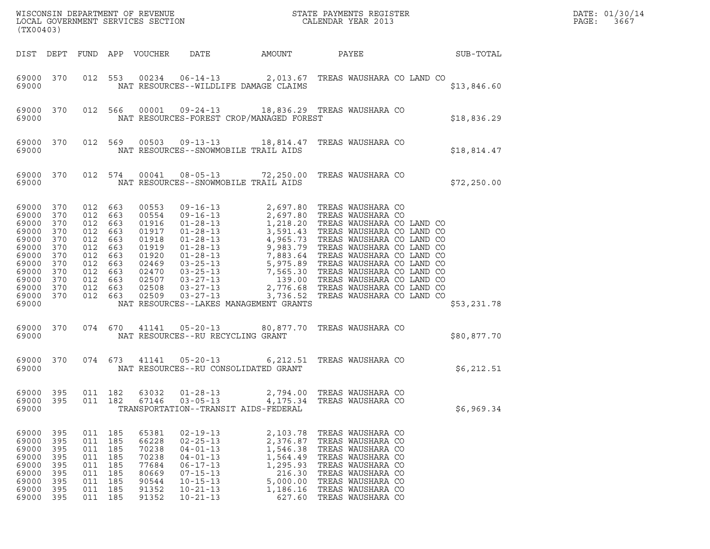|                                                                                                                               | (TX00403)                                                   |                                                                                                                          |                                        |                                                                                                          |                                                                                                                                                                |                                                                                                      |                                                                                                                                                                                           |              | DATE: 01/30/14<br>PAGE:<br>3667 |
|-------------------------------------------------------------------------------------------------------------------------------|-------------------------------------------------------------|--------------------------------------------------------------------------------------------------------------------------|----------------------------------------|----------------------------------------------------------------------------------------------------------|----------------------------------------------------------------------------------------------------------------------------------------------------------------|------------------------------------------------------------------------------------------------------|-------------------------------------------------------------------------------------------------------------------------------------------------------------------------------------------|--------------|---------------------------------|
|                                                                                                                               |                                                             |                                                                                                                          |                                        | DIST DEPT FUND APP VOUCHER                                                                               | DATE                                                                                                                                                           | AMOUNT                                                                                               | PAYEE                                                                                                                                                                                     | SUB-TOTAL    |                                 |
| 69000 370<br>69000                                                                                                            |                                                             |                                                                                                                          |                                        |                                                                                                          | NAT RESOURCES--WILDLIFE DAMAGE CLAIMS                                                                                                                          |                                                                                                      | 012 553 00234 06-14-13 2,013.67 TREAS WAUSHARA CO LAND CO                                                                                                                                 | \$13,846.60  |                                 |
| 69000                                                                                                                         | 69000 370                                                   | 012 566                                                                                                                  |                                        | 00001                                                                                                    | NAT RESOURCES-FOREST CROP/MANAGED FOREST                                                                                                                       |                                                                                                      | 09-24-13 18,836.29 TREAS WAUSHARA CO                                                                                                                                                      | \$18,836.29  |                                 |
| 69000                                                                                                                         | 69000 370                                                   |                                                                                                                          |                                        |                                                                                                          | NAT RESOURCES--SNOWMOBILE TRAIL AIDS                                                                                                                           |                                                                                                      | 012 569 00503 09-13-13 18,814.47 TREAS WAUSHARA CO                                                                                                                                        | \$18,814.47  |                                 |
| 69000                                                                                                                         | 69000 370                                                   |                                                                                                                          | 012 574                                | 00041                                                                                                    | NAT RESOURCES--SNOWMOBILE TRAIL AIDS                                                                                                                           |                                                                                                      | 08-05-13 72,250.00 TREAS WAUSHARA CO                                                                                                                                                      | \$72, 250.00 |                                 |
| 69000 370<br>69000<br>69000<br>69000<br>69000<br>69000<br>69000<br>69000<br>69000<br>69000<br>69000 370<br>69000 370<br>69000 | 370<br>370<br>370<br>370<br>370<br>370<br>370<br>370<br>370 | 012 663<br>012 663<br>012 663<br>012<br>012 663<br>012<br>012 663<br>012 663<br>012 663<br>012 663<br>012 663<br>012 663 | 663<br>663                             | 00553<br>00554<br>01916<br>01917<br>01918<br>01919<br>01920<br>02469<br>02470<br>02507<br>02508<br>02509 | $03 - 27 - 13$<br>NAT RESOURCES--LAKES MANAGEMENT GRANTS                                                                                                       |                                                                                                      | 3,736.52 TREAS WAUSHARA CO LAND CO                                                                                                                                                        | \$53,231.78  |                                 |
| 69000                                                                                                                         | 69000 370                                                   | 074 670                                                                                                                  |                                        |                                                                                                          | NAT RESOURCES--RU RECYCLING GRANT                                                                                                                              |                                                                                                      | 41141  05-20-13  80,877.70  TREAS WAUSHARA CO                                                                                                                                             | \$80,877.70  |                                 |
| 69000                                                                                                                         | 69000 370                                                   | 074 673                                                                                                                  |                                        |                                                                                                          | 41141  05-20-13<br>NAT RESOURCES--RU CONSOLIDATED GRANT                                                                                                        |                                                                                                      | 6,212.51 TREAS WAUSHARA CO                                                                                                                                                                | \$6,212.51   |                                 |
| 69000<br>69000<br>69000                                                                                                       | 395<br>395                                                  | 011<br>011 182                                                                                                           | 182                                    | 63032<br>67146                                                                                           | $01 - 28 - 13$<br>$03 - 05 - 13$<br>TRANSPORTATION--TRANSIT AIDS-FEDERAL                                                                                       | 2,794.00<br>4,175.34                                                                                 | TREAS WAUSHARA CO<br>TREAS WAUSHARA CO                                                                                                                                                    | \$6,969.34   |                                 |
| 69000<br>69000<br>69000<br>69000<br>69000<br>69000<br>69000<br>69000<br>69000                                                 | 395<br>395<br>395<br>395<br>395<br>395<br>395<br>395<br>395 | 011 185<br>011<br>011 185<br>011<br>011<br>011<br>011<br>011<br>011 185                                                  | 185<br>185<br>185<br>185<br>185<br>185 | 65381<br>66228<br>70238<br>70238<br>77684<br>80669<br>90544<br>91352<br>91352                            | $02 - 19 - 13$<br>$02 - 25 - 13$<br>$04 - 01 - 13$<br>$04 - 01 - 13$<br>$06 - 17 - 13$<br>$07 - 15 - 13$<br>$10 - 15 - 13$<br>$10 - 21 - 13$<br>$10 - 21 - 13$ | 2,103.78<br>2,376.87<br>1,546.38<br>1,564.49<br>1,295.93<br>216.30<br>5,000.00<br>1,186.16<br>627.60 | TREAS WAUSHARA CO<br>TREAS WAUSHARA CO<br>TREAS WAUSHARA CO<br>TREAS WAUSHARA CO<br>TREAS WAUSHARA CO<br>TREAS WAUSHARA CO<br>TREAS WAUSHARA CO<br>TREAS WAUSHARA CO<br>TREAS WAUSHARA CO |              |                                 |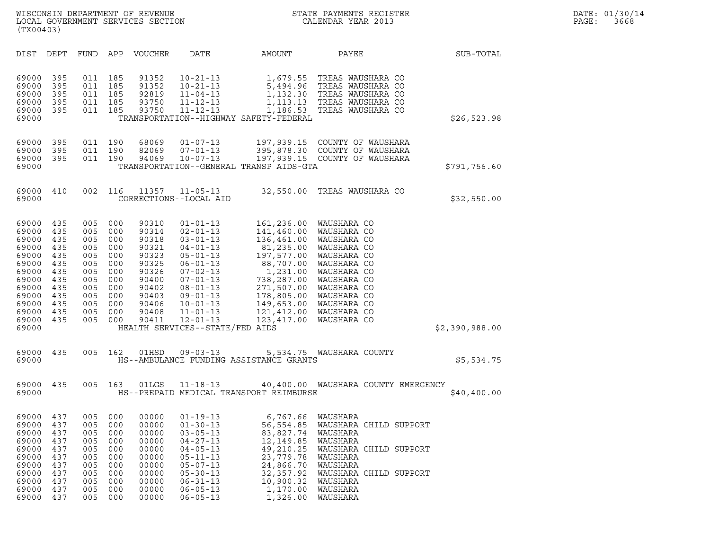| (TX00403)                                                                                                                  |                                                                                         |                                                                                         |                                                                                         |                                                                                                                   |                                                                                                                                                                                                                                                                           |                                                                                                                                                    |                                                                                                                                                                                                                       |                |
|----------------------------------------------------------------------------------------------------------------------------|-----------------------------------------------------------------------------------------|-----------------------------------------------------------------------------------------|-----------------------------------------------------------------------------------------|-------------------------------------------------------------------------------------------------------------------|---------------------------------------------------------------------------------------------------------------------------------------------------------------------------------------------------------------------------------------------------------------------------|----------------------------------------------------------------------------------------------------------------------------------------------------|-----------------------------------------------------------------------------------------------------------------------------------------------------------------------------------------------------------------------|----------------|
| DIST                                                                                                                       | DEPT                                                                                    | FUND                                                                                    | APP                                                                                     | VOUCHER                                                                                                           | DATE                                                                                                                                                                                                                                                                      | AMOUNT                                                                                                                                             | PAYEE                                                                                                                                                                                                                 | SUB-TOTAL      |
| 69000<br>69000<br>69000<br>69000<br>69000<br>69000                                                                         | 395<br>395<br>395<br>395<br>395                                                         | 011<br>011<br>011<br>011<br>011                                                         | 185<br>185<br>185<br>185<br>185                                                         | 91352<br>91352<br>92819<br>93750<br>93750                                                                         | $10 - 21 - 13$<br>$10 - 21 - 13$<br>$11 - 04 - 13$<br>$11 - 12 - 13$<br>$11 - 12 - 13$                                                                                                                                                                                    | 1,679.55<br>5,494.96<br>TRANSPORTATION--HIGHWAY SAFETY-FEDERAL                                                                                     | TREAS WAUSHARA CO<br>TREAS WAUSHARA CO<br>1,132.30 TREAS WAUSHARA CO<br>1,113.13 TREAS WAUSHARA CO<br>1,186.53 TREAS WAUSHARA CO                                                                                      | \$26,523.98    |
| 69000<br>69000<br>69000<br>69000                                                                                           | 395<br>395<br>395                                                                       | 011<br>011<br>011                                                                       | 190<br>190<br>190                                                                       | 68069<br>82069<br>94069                                                                                           | $01 - 07 - 13$<br>$07 - 01 - 13$<br>$10 - 07 - 13$                                                                                                                                                                                                                        | TRANSPORTATION--GENERAL TRANSP AIDS-GTA                                                                                                            | 197,939.15 COUNTY OF WAUSHARA<br>395,878.30 COUNTY OF WAUSHARA<br>197,939.15 COUNTY OF WAUSHARA                                                                                                                       | \$791,756.60   |
| 69000<br>69000                                                                                                             | 410                                                                                     | 002                                                                                     | 116                                                                                     | 11357                                                                                                             | $11 - 05 - 13$<br>CORRECTIONS--LOCAL AID                                                                                                                                                                                                                                  | 32,550.00                                                                                                                                          | TREAS WAUSHARA CO                                                                                                                                                                                                     | \$32,550.00    |
| 69000<br>69000<br>69000<br>69000<br>69000<br>69000<br>69000<br>69000<br>69000<br>69000<br>69000<br>69000<br>69000<br>69000 | 435<br>435<br>435<br>435<br>435<br>435<br>435<br>435<br>435<br>435<br>435<br>435<br>435 | 005<br>005<br>005<br>005<br>005<br>005<br>005<br>005<br>005<br>005<br>005<br>005<br>005 | 000<br>000<br>000<br>000<br>000<br>000<br>000<br>000<br>000<br>000<br>000<br>000<br>000 | 90310<br>90314<br>90318<br>90321<br>90323<br>90325<br>90326<br>90400<br>90402<br>90403<br>90406<br>90408<br>90411 | $01 - 01 - 13$<br>$02 - 01 - 13$<br>$03 - 01 - 13$<br>$04 - 01 - 13$<br>$05 - 01 - 13$<br>$06 - 01 - 13$<br>$07 - 02 - 13$<br>$07 - 01 - 13$<br>$08 - 01 - 13$<br>$09 - 01 - 13$<br>$10 - 01 - 13$<br>$11 - 01 - 13$<br>$12 - 01 - 13$<br>HEALTH SERVICES--STATE/FED AIDS | 141,460.00<br>136,461.00<br>81,235.00<br>197,577.00<br>88,707.00<br>1,231.00<br>738,287.00<br>271,507.00<br>178,805.00<br>121,412.00<br>123,417.00 | 161,236.00 WAUSHARA CO<br>WAUSHARA CO<br>WAUSHARA CO<br>WAUSHARA CO<br>WAUSHARA CO<br>WAUSHARA CO<br>WAUSHARA CO<br>WAUSHARA CO<br>WAUSHARA CO<br>WAUSHARA CO<br>149,653.00 WAUSHARA CO<br>WAUSHARA CO<br>WAUSHARA CO | \$2,390,988.00 |
| 69000<br>69000                                                                                                             | 435                                                                                     | 005                                                                                     | 162                                                                                     | 01HSD                                                                                                             | $09 - 03 - 13$                                                                                                                                                                                                                                                            | HS--AMBULANCE FUNDING ASSISTANCE GRANTS                                                                                                            | 5,534.75 WAUSHARA COUNTY                                                                                                                                                                                              | \$5,534.75     |
| 69000<br>69000                                                                                                             | 435                                                                                     | 005                                                                                     | 163                                                                                     | 01LGS                                                                                                             | 11-18-13                                                                                                                                                                                                                                                                  | HS--PREPAID MEDICAL TRANSPORT REIMBURSE                                                                                                            | 40,400.00 WAUSHARA COUNTY EMERGENCY                                                                                                                                                                                   | \$40,400.00    |
| 69000<br>69000<br>69000<br>69000<br>69000<br>69000<br>69000<br>69000<br>69000<br>69000<br>69000                            | 437<br>437<br>437<br>437<br>437<br>437<br>437<br>437<br>437<br>437<br>437               | 005<br>005<br>005<br>005<br>005<br>005<br>005<br>005<br>005<br>005<br>005               | 000<br>000<br>000<br>000<br>000<br>000<br>000<br>000<br>000<br>000<br>000               | 00000<br>00000<br>00000<br>00000<br>00000<br>00000<br>00000<br>00000<br>00000<br>00000<br>00000                   | $01 - 19 - 13$<br>$01 - 30 - 13$<br>$03 - 05 - 13$<br>$04 - 27 - 13$<br>$04 - 05 - 13$<br>$05 - 11 - 13$<br>$05 - 07 - 13$<br>$05 - 30 - 13$<br>$06 - 31 - 13$<br>$06 - 05 - 13$<br>$06 - 05 - 13$                                                                        | 6,767.66<br>56,554.85<br>83,827.74<br>12,149.85<br>49,210.25<br>23,779.78<br>24,866.70<br>32,357.92<br>10,900.32<br>1,170.00<br>1,326.00           | WAUSHARA<br>WAUSHARA CHILD SUPPORT<br>WAUSHARA<br>WAUSHARA<br>WAUSHARA CHILD SUPPORT<br>WAUSHARA<br>WAUSHARA<br>WAUSHARA CHILD SUPPORT<br>WAUSHARA<br>WAUSHARA<br>WAUSHARA                                            |                |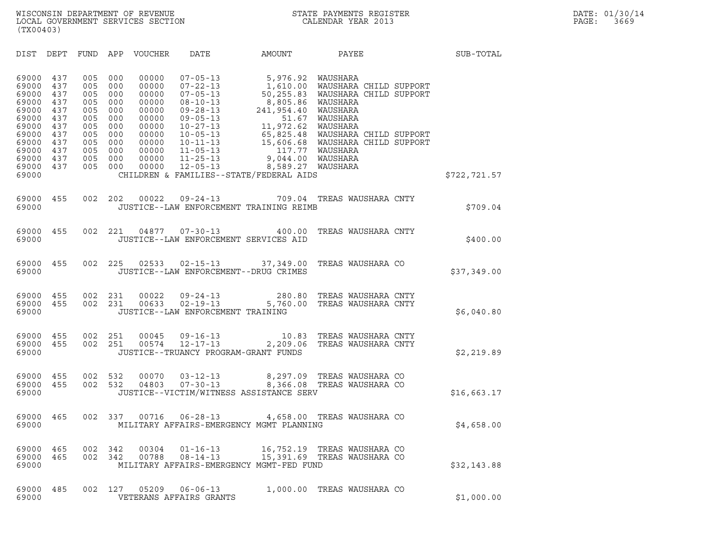| (TX00403)                                                                                                         |                                                                                  |                                                                                  |                                                                                  |                                                                                                          |                                                                                                                                                                                                                      |                                                                                                                           |                                                                                                                                                                                                                                                                               |              |
|-------------------------------------------------------------------------------------------------------------------|----------------------------------------------------------------------------------|----------------------------------------------------------------------------------|----------------------------------------------------------------------------------|----------------------------------------------------------------------------------------------------------|----------------------------------------------------------------------------------------------------------------------------------------------------------------------------------------------------------------------|---------------------------------------------------------------------------------------------------------------------------|-------------------------------------------------------------------------------------------------------------------------------------------------------------------------------------------------------------------------------------------------------------------------------|--------------|
| DIST                                                                                                              | DEPT                                                                             | FUND                                                                             |                                                                                  | APP VOUCHER                                                                                              |                                                                                                                                                                                                                      |                                                                                                                           | DATE AMOUNT PAYEE                                                                                                                                                                                                                                                             | SUB-TOTAL    |
| 69000<br>69000<br>69000<br>69000<br>69000<br>69000<br>69000<br>69000<br>69000<br>69000<br>69000<br>69000<br>69000 | 437<br>437<br>437<br>437<br>437<br>437<br>437<br>437<br>437<br>437<br>437<br>437 | 005<br>005<br>005<br>005<br>005<br>005<br>005<br>005<br>005<br>005<br>005<br>005 | 000<br>000<br>000<br>000<br>000<br>000<br>000<br>000<br>000<br>000<br>000<br>000 | 00000<br>00000<br>00000<br>00000<br>00000<br>00000<br>00000<br>00000<br>00000<br>00000<br>00000<br>00000 | $07 - 05 - 13$<br>$07 - 22 - 13$<br>$07 - 05 - 13$<br>$08 - 10 - 13$<br>$09 - 28 - 13$<br>$09 - 05 - 13$<br>$10 - 27 - 13$<br>$10 - 05 - 13$<br>$10 - 11 - 13$<br>$11 - 05 - 13$<br>$11 - 25 - 13$<br>$12 - 05 - 13$ | 50,255.83<br>8,805.86<br>241,954.40<br>51.67<br>11,972.62<br>8,589.27 WAUSHARA<br>CHILDREN & FAMILIES--STATE/FEDERAL AIDS | 5,976.92 WAUSHARA<br>5,976.92 WAUSHARA<br>1,610.00 WAUSHARA CHILD SUPPORT<br>2006 WAUSHARA CHILD SUPPORT<br>WAUSHARA CHILD SUPPORT<br>WAUSHARA<br>WAUSHARA<br>WAUSHARA<br>WAUSHARA<br>65,825.48 WAUSHARA CHILD SUPPORT<br>15,606.68 WAUSHARA CHILD SUPPORT<br>117.77 WAUSHARA | \$722,721.57 |
| 69000<br>69000                                                                                                    | 455                                                                              | 002                                                                              | 202                                                                              | 00022                                                                                                    | $09 - 24 - 13$                                                                                                                                                                                                       | JUSTICE--LAW ENFORCEMENT TRAINING REIMB                                                                                   | 709.04 TREAS WAUSHARA CNTY                                                                                                                                                                                                                                                    | \$709.04     |
| 69000<br>69000                                                                                                    | 455                                                                              | 002                                                                              | 221                                                                              | 04877                                                                                                    | $07 - 30 - 13$<br>JUSTICE--LAW ENFORCEMENT SERVICES AID                                                                                                                                                              | 400.00                                                                                                                    | TREAS WAUSHARA CNTY                                                                                                                                                                                                                                                           | \$400.00     |
| 69000<br>69000                                                                                                    | 455                                                                              | 002                                                                              | 225                                                                              | 02533                                                                                                    | JUSTICE--LAW ENFORCEMENT--DRUG CRIMES                                                                                                                                                                                |                                                                                                                           | 02-15-13 37,349.00 TREAS WAUSHARA CO                                                                                                                                                                                                                                          | \$37,349.00  |
| 69000<br>69000<br>69000                                                                                           | 455<br>455                                                                       | 002<br>002                                                                       | 231<br>231                                                                       | 00022<br>00633                                                                                           | $09 - 24 - 13$<br>$02 - 19 - 13$<br>JUSTICE--LAW ENFORCEMENT TRAINING                                                                                                                                                | 5,760.00                                                                                                                  | 280.80 TREAS WAUSHARA CNTY<br>TREAS WAUSHARA CNTY                                                                                                                                                                                                                             | \$6,040.80   |
| 69000<br>69000<br>69000                                                                                           | 455<br>455                                                                       | 002<br>002                                                                       | 251<br>251                                                                       | 00045<br>00574                                                                                           | JUSTICE--TRUANCY PROGRAM-GRANT FUNDS                                                                                                                                                                                 | 09-16-13 10.83<br>12-17-13 2,209.06                                                                                       | TREAS WAUSHARA CNTY<br>TREAS WAUSHARA CNTY                                                                                                                                                                                                                                    | \$2,219.89   |
| 69000<br>69000<br>69000                                                                                           | 455<br>455                                                                       | 002<br>002                                                                       | 532<br>532                                                                       | 00070<br>04803                                                                                           |                                                                                                                                                                                                                      | JUSTICE--VICTIM/WITNESS ASSISTANCE SERV                                                                                   | 03-12-13                 8,297.09    TREAS WAUSHARA CO<br>07-30-13               8,366.08    TREAS WAUSHARA CO                                                                                                                                                                | \$16,663.17  |
| 69000<br>69000                                                                                                    | 465                                                                              | 002                                                                              | 337                                                                              | 00716                                                                                                    | $06 - 28 - 13$                                                                                                                                                                                                       | MILITARY AFFAIRS-EMERGENCY MGMT PLANNING                                                                                  | 4,658.00 TREAS WAUSHARA CO                                                                                                                                                                                                                                                    | \$4,658.00   |
| 69000<br>69000<br>69000                                                                                           | 465<br>465                                                                       | 002<br>002                                                                       | 342<br>342                                                                       | 00304<br>00788                                                                                           | $01 - 16 - 13$<br>$08 - 14 - 13$                                                                                                                                                                                     | MILITARY AFFAIRS-EMERGENCY MGMT-FED FUND                                                                                  | 16,752.19 TREAS WAUSHARA CO<br>15,391.69 TREAS WAUSHARA CO                                                                                                                                                                                                                    | \$32,143.88  |
| 69000<br>69000                                                                                                    | 485                                                                              | 002                                                                              | 127                                                                              | 05209                                                                                                    | $06 - 06 - 13$<br>VETERANS AFFAIRS GRANTS                                                                                                                                                                            | 1,000.00                                                                                                                  | TREAS WAUSHARA CO                                                                                                                                                                                                                                                             | \$1,000.00   |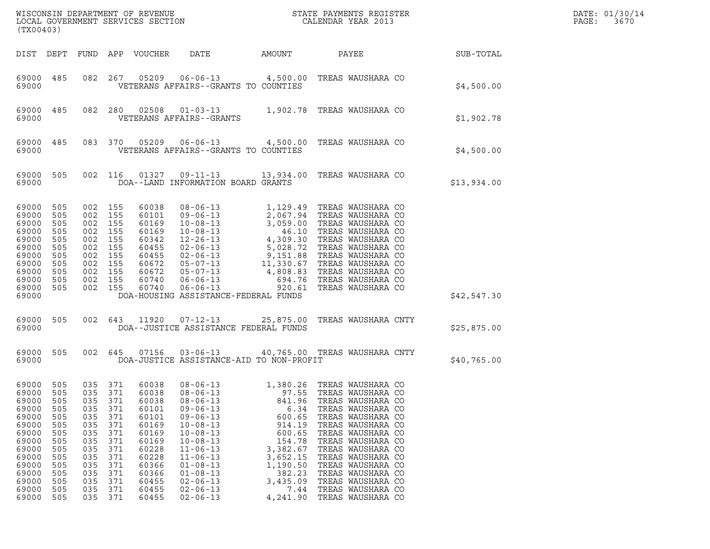| (TX00403)                                                                                                                               |                                                                                                |                                                                                                |                                                                                                           |                                                                                                                                     |                                                                                                                                                                                                                                                                            |                                                                                                                                               | $\tt WISCONSIM DEPARTMENT OF REVENUE$ $\tt WISCONSIM EN THE BAYMENTS REGISTERLOCAL GOVERNMENT SERVICES SECTION CALENDAR YEAR 2013$                                                                                                                                                                                               |             | DATE: 01/30/14<br>PAGE:<br>3670 |
|-----------------------------------------------------------------------------------------------------------------------------------------|------------------------------------------------------------------------------------------------|------------------------------------------------------------------------------------------------|-----------------------------------------------------------------------------------------------------------|-------------------------------------------------------------------------------------------------------------------------------------|----------------------------------------------------------------------------------------------------------------------------------------------------------------------------------------------------------------------------------------------------------------------------|-----------------------------------------------------------------------------------------------------------------------------------------------|----------------------------------------------------------------------------------------------------------------------------------------------------------------------------------------------------------------------------------------------------------------------------------------------------------------------------------|-------------|---------------------------------|
| DIST DEPT                                                                                                                               |                                                                                                |                                                                                                |                                                                                                           | FUND APP VOUCHER                                                                                                                    | DATE<br>AMOUNT                                                                                                                                                                                                                                                             |                                                                                                                                               | PAYEE                                                                                                                                                                                                                                                                                                                            | SUB-TOTAL   |                                 |
| 69000 485<br>69000                                                                                                                      |                                                                                                | 082                                                                                            | 267                                                                                                       |                                                                                                                                     | VETERANS AFFAIRS--GRANTS TO COUNTIES                                                                                                                                                                                                                                       |                                                                                                                                               | 05209  06-06-13  4,500.00  TREAS WAUSHARA CO                                                                                                                                                                                                                                                                                     | \$4,500.00  |                                 |
| 69000<br>69000                                                                                                                          | 485                                                                                            | 082 280                                                                                        |                                                                                                           | 02508                                                                                                                               | VETERANS AFFAIRS--GRANTS                                                                                                                                                                                                                                                   |                                                                                                                                               | $01-03-13$ 1,902.78 TREAS WAUSHARA CO                                                                                                                                                                                                                                                                                            | \$1,902.78  |                                 |
| 69000<br>69000                                                                                                                          | 485                                                                                            |                                                                                                | 083 370                                                                                                   |                                                                                                                                     | VETERANS AFFAIRS--GRANTS TO COUNTIES                                                                                                                                                                                                                                       |                                                                                                                                               | 05209  06-06-13  4,500.00  TREAS WAUSHARA CO                                                                                                                                                                                                                                                                                     | \$4,500.00  |                                 |
| 69000 505<br>69000                                                                                                                      |                                                                                                | 002 116                                                                                        |                                                                                                           | 01327                                                                                                                               | DOA--LAND INFORMATION BOARD GRANTS                                                                                                                                                                                                                                         |                                                                                                                                               | 09-11-13 13,934.00 TREAS WAUSHARA CO                                                                                                                                                                                                                                                                                             | \$13,934.00 |                                 |
| 69000<br>69000<br>69000<br>69000<br>69000<br>69000<br>69000<br>69000<br>69000<br>69000<br>69000 505                                     | 505<br>505<br>505<br>505<br>505<br>505<br>505<br>505<br>505<br>505                             | 002 155<br>002<br>002<br>002<br>002<br>002<br>002<br>002<br>002<br>002<br>002 155              | 155<br>155<br>155<br>155<br>155<br>155<br>155<br>155<br>155                                               | 60038<br>60101<br>60169<br>60169<br>60342<br>60455<br>60455<br>60672<br>60672<br>60740<br>60740                                     | $08 - 06 - 13$<br>$06 - 06 - 13$                                                                                                                                                                                                                                           | 694.76                                                                                                                                        | 1,129.49 TREAS WAUSHARA CO<br>08-06-13<br>09-06-13<br>2,067.94 TREAS WAUSHARA CO<br>10-08-13<br>10-08-13<br>46.10 TREAS WAUSHARA CO<br>12-26-13<br>4,309.30 TREAS WAUSHARA CO<br>02-06-13<br>5,028.72 TREAS WAUSHARA CO<br>05-07-13<br>11,330.67 TREAS WAUSHARA CO<br>05-07-13<br>4,80<br>920.61 TREAS WAUSHARA CO               |             |                                 |
| 69000                                                                                                                                   |                                                                                                |                                                                                                |                                                                                                           |                                                                                                                                     | DOA-HOUSING ASSISTANCE-FEDERAL FUNDS                                                                                                                                                                                                                                       |                                                                                                                                               |                                                                                                                                                                                                                                                                                                                                  | \$42,547.30 |                                 |
| 69000<br>69000                                                                                                                          | 505                                                                                            |                                                                                                |                                                                                                           |                                                                                                                                     | 002 643 11920 07-12-13<br>DOA--JUSTICE ASSISTANCE FEDERAL FUNDS                                                                                                                                                                                                            |                                                                                                                                               | 25,875.00 TREAS WAUSHARA CNTY                                                                                                                                                                                                                                                                                                    | \$25,875.00 |                                 |
| 69000<br>69000                                                                                                                          | 505                                                                                            |                                                                                                |                                                                                                           | 002 645 07156                                                                                                                       | DOA-JUSTICE ASSISTANCE-AID TO NON-PROFIT                                                                                                                                                                                                                                   |                                                                                                                                               | 03-06-13 40,765.00 TREAS WAUSHARA CNTY                                                                                                                                                                                                                                                                                           | \$40,765.00 |                                 |
| 69000 505<br>69000<br>69000<br>69000<br>69000<br>69000<br>69000<br>69000<br>69000<br>69000<br>69000<br>69000<br>69000<br>69000<br>69000 | 505<br>505<br>505<br>505<br>505<br>505<br>505<br>505<br>505<br>505<br>505<br>505<br>505<br>505 | 035<br>035<br>035<br>035<br>035<br>035<br>035<br>035<br>035<br>035<br>035<br>035<br>035<br>035 | 035 371<br>371<br>371<br>371<br>371<br>371<br>371<br>371<br>371<br>371<br>371<br>371<br>371<br>371<br>371 | 60038<br>60038<br>60038<br>60101<br>60101<br>60169<br>60169<br>60169<br>60228<br>60228<br>60366<br>60366<br>60455<br>60455<br>60455 | $08 - 06 - 13$<br>$08 - 06 - 13$<br>$08 - 06 - 13$<br>$09 - 06 - 13$<br>$09 - 06 - 13$<br>$10 - 08 - 13$<br>$10 - 08 - 13$<br>$10 - 08 - 13$<br>$11 - 06 - 13$<br>$11 - 06 - 13$<br>$01 - 08 - 13$<br>$01 - 08 - 13$<br>$02 - 06 - 13$<br>$02 - 06 - 13$<br>$02 - 06 - 13$ | 97.55<br>841.96<br>6.34<br>600.65<br>914.19<br>600.65<br>154.78<br>3,382.67<br>3,652.15<br>1,190.50<br>382.23<br>3,435.09<br>7.44<br>4,241.90 | 1,380.26 TREAS WAUSHARA CO<br>TREAS WAUSHARA CO<br>TREAS WAUSHARA CO<br>TREAS WAUSHARA CO<br>TREAS WAUSHARA CO<br>TREAS WAUSHARA CO<br>TREAS WAUSHARA CO<br>TREAS WAUSHARA CO<br>TREAS WAUSHARA CO<br>TREAS WAUSHARA CO<br>TREAS WAUSHARA CO<br>TREAS WAUSHARA CO<br>TREAS WAUSHARA CO<br>TREAS WAUSHARA CO<br>TREAS WAUSHARA CO |             |                                 |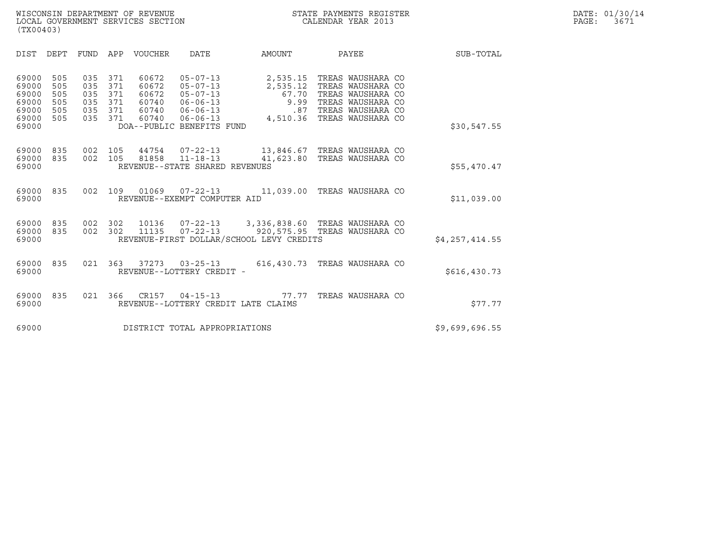| (TX00403)                                                   |                                        |                                        |                                        |                                                    |                                                                                                                                       |                                                                                                            |                                                                                                                            |                |
|-------------------------------------------------------------|----------------------------------------|----------------------------------------|----------------------------------------|----------------------------------------------------|---------------------------------------------------------------------------------------------------------------------------------------|------------------------------------------------------------------------------------------------------------|----------------------------------------------------------------------------------------------------------------------------|----------------|
| DIST                                                        | DEPT                                   | <b>FUND</b>                            | APP                                    | <b>VOUCHER</b>                                     | <b>DATE</b>                                                                                                                           | AMOUNT                                                                                                     | PAYEE                                                                                                                      | SUB-TOTAL      |
| 69000<br>69000<br>69000<br>69000<br>69000<br>69000<br>69000 | 505<br>505<br>505<br>505<br>505<br>505 | 035<br>035<br>035<br>035<br>035<br>035 | 371<br>371<br>371<br>371<br>371<br>371 | 60672<br>60672<br>60672<br>60740<br>60740<br>60740 | $05 - 07 - 13$<br>$05 - 07 - 13$<br>$05 - 07 - 13$<br>$06 - 06 - 13$<br>$06 - 06 - 13$<br>$06 - 06 - 13$<br>DOA--PUBLIC BENEFITS FUND | 2,535.15<br>2,535.12<br>67.70<br>9.99<br>.87<br>4,510.36                                                   | TREAS WAUSHARA CO<br>TREAS WAUSHARA CO<br>TREAS WAUSHARA CO<br>TREAS WAUSHARA CO<br>TREAS WAUSHARA CO<br>TREAS WAUSHARA CO | \$30,547.55    |
| 69000<br>69000<br>69000                                     | 835<br>835                             | 002<br>002                             | 105<br>105                             | 44754<br>81858                                     | 07-22-13<br>$11 - 18 - 13$<br>REVENUE--STATE SHARED REVENUES                                                                          | 13,846.67 TREAS WAUSHARA CO<br>41,623.80 TREAS WAUSHARA CO                                                 |                                                                                                                            | \$55,470.47    |
| 69000<br>69000                                              | 835                                    | 002                                    | 109                                    | 01069                                              | $07 - 22 - 13$<br>REVENUE--EXEMPT COMPUTER AID                                                                                        | 11,039.00 TREAS WAUSHARA CO                                                                                |                                                                                                                            | \$11,039.00    |
| 69000<br>69000<br>69000                                     | 835<br>835                             | 002<br>002                             | 302<br>302                             | 10136<br>11135                                     | $07 - 22 - 13$<br>$07 - 22 - 13$                                                                                                      | 3,336,838.60 TREAS WAUSHARA CO<br>920,575.95 TREAS WAUSHARA CO<br>REVENUE-FIRST DOLLAR/SCHOOL LEVY CREDITS |                                                                                                                            | \$4,257,414.55 |
| 69000<br>69000                                              | 835                                    | 021                                    | 363                                    | 37273                                              | $03 - 25 - 13$<br>REVENUE--LOTTERY CREDIT -                                                                                           | 616,430.73 TREAS WAUSHARA CO                                                                               |                                                                                                                            | \$616, 430.73  |
| 69000<br>69000                                              | 835                                    | 021                                    | 366                                    | CR157                                              | $04 - 15 - 13$<br>REVENUE--LOTTERY CREDIT LATE CLAIMS                                                                                 | 77.77                                                                                                      | TREAS WAUSHARA CO                                                                                                          | \$77.77        |
| 69000                                                       |                                        |                                        |                                        |                                                    | DISTRICT TOTAL APPROPRIATIONS                                                                                                         |                                                                                                            |                                                                                                                            | \$9,699,696.55 |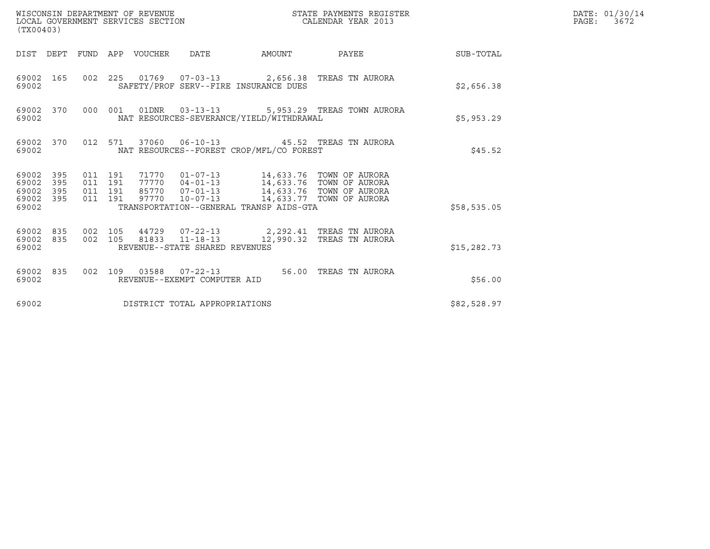| (TX00403)                                                    | WISCONSIN DEPARTMENT OF REVENUE<br>LOCAL GOVERNMENT SERVICES SECTION                                                                                                                                                                                                        | STATE PAYMENTS REGISTER<br>CALENDAR YEAR 2013 |              | DATE: 01/30/14<br>PAGE: 3672 |
|--------------------------------------------------------------|-----------------------------------------------------------------------------------------------------------------------------------------------------------------------------------------------------------------------------------------------------------------------------|-----------------------------------------------|--------------|------------------------------|
|                                                              | DIST DEPT FUND APP VOUCHER DATE                                                                                                                                                                                                                                             | AMOUNT PAYEE SUB-TOTAL                        |              |                              |
| 69002 165<br>69002                                           | 002  225  01769  07-03-13  2,656.38  TREAS TN AURORA<br>SAFETY/PROF SERV--FIRE INSURANCE DUES                                                                                                                                                                               |                                               | \$2,656.38   |                              |
| 69002 370<br>69002                                           | 000 001 01DNR  03-13-13  5,953.29 TREAS TOWN AURORA<br>NAT RESOURCES-SEVERANCE/YIELD/WITHDRAWAL                                                                                                                                                                             |                                               | \$5,953.29   |                              |
| 69002 370<br>69002                                           | 012 571 37060 06-10-13 45.52 TREAS TN AURORA<br>NAT RESOURCES--FOREST CROP/MFL/CO FOREST                                                                                                                                                                                    |                                               | \$45.52      |                              |
| 69002 395<br>69002<br>395<br>69002 395<br>69002 395<br>69002 | 71770  01-07-13  14,633.76  TOWN OF AURORA<br>77770  04-01-13  14,633.76  TOWN OF AURORA<br>011 191<br>011 191<br>85770  07-01-13  14,633.76  TOWN OF AURORA<br>011 191<br>97770  10-07-13  14,633.77  TOWN OF AURORA<br>011 191<br>TRANSPORTATION--GENERAL TRANSP AIDS-GTA |                                               | \$58,535.05  |                              |
| 69002 835<br>69002                                           | 69002 835 002 105 44729 07-22-13 2,292.41 TREAS TN AURORA<br>002 105 81833 11-18-13 12,990.32 TREAS TN AURORA<br>REVENUE--STATE SHARED REVENUES                                                                                                                             |                                               | \$15, 282.73 |                              |
| 69002 835<br>69002                                           | 002 109 03588 07-22-13 56.00 TREAS TN AURORA<br>REVENUE--EXEMPT COMPUTER AID                                                                                                                                                                                                |                                               | \$56.00      |                              |
| 69002                                                        | DISTRICT TOTAL APPROPRIATIONS                                                                                                                                                                                                                                               |                                               | \$82,528.97  |                              |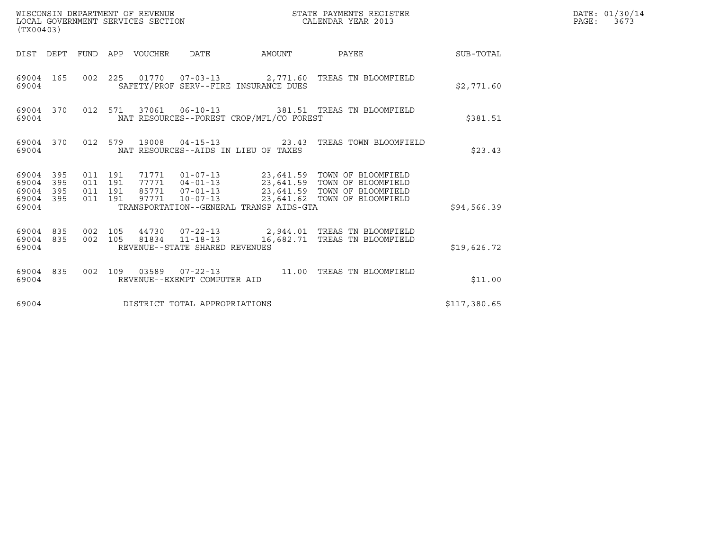| (TX00403)                                                       |         | WISCONSIN DEPARTMENT OF REVENUE<br>LOCAL GOVERNMENT SERVICES SECTION |                                                  |                                          | STATE PAYMENTS REGISTER<br>CALENDAR YEAR 2013                                                                                                                                                        |                  | DATE: 01/30/14<br>PAGE:<br>3673 |
|-----------------------------------------------------------------|---------|----------------------------------------------------------------------|--------------------------------------------------|------------------------------------------|------------------------------------------------------------------------------------------------------------------------------------------------------------------------------------------------------|------------------|---------------------------------|
|                                                                 |         | DIST DEPT FUND APP VOUCHER DATE                                      |                                                  | AMOUNT                                   | PAYEE                                                                                                                                                                                                | <b>SUB-TOTAL</b> |                                 |
| 69004 165<br>69004                                              |         |                                                                      | SAFETY/PROF SERV--FIRE INSURANCE DUES            |                                          | 002  225  01770  07-03-13  2,771.60 TREAS TN BLOOMFIELD                                                                                                                                              | \$2,771.60       |                                 |
| 69004 370<br>69004                                              |         |                                                                      |                                                  | NAT RESOURCES--FOREST CROP/MFL/CO FOREST | 012 571 37061 06-10-13 381.51 TREAS TN BLOOMFIELD                                                                                                                                                    | \$381.51         |                                 |
| 69004 370<br>69004                                              |         |                                                                      | NAT RESOURCES--AIDS IN LIEU OF TAXES             |                                          | 012 579 19008 04-15-13 23.43 TREAS TOWN BLOOMFIELD                                                                                                                                                   | \$23.43          |                                 |
| 69004 395<br>69004<br>395<br>69004<br>395<br>69004 395<br>69004 | 011 191 | 011 191<br>011 191<br>011 191                                        |                                                  | TRANSPORTATION--GENERAL TRANSP AIDS-GTA  | 71771  01-07-13  23,641.59  TOWN OF BLOOMFIELD<br>77771  04-01-13  23,641.59  TOWN OF BLOOMFIELD<br>85771  07-01-13  23,641.59  TOWN OF BLOOMFIELD<br>97771  10-07-13  23,641.62  TOWN OF BLOOMFIELD | \$94,566.39      |                                 |
| 69004 835<br>69004 835<br>69004                                 | 002 105 | 002 105                                                              | 81834 11-18-13<br>REVENUE--STATE SHARED REVENUES |                                          | 44730  07-22-13  2,944.01 TREAS TN BLOOMFIELD<br>16,682.71 TREAS TN BLOOMFIELD                                                                                                                       | \$19,626.72      |                                 |
| 69004 835<br>69004                                              |         |                                                                      | REVENUE--EXEMPT COMPUTER AID                     |                                          | 002 109 03589 07-22-13 11.00 TREAS TN BLOOMFIELD                                                                                                                                                     | \$11.00          |                                 |
| 69004                                                           |         | DISTRICT TOTAL APPROPRIATIONS                                        |                                                  |                                          |                                                                                                                                                                                                      | \$117,380.65     |                                 |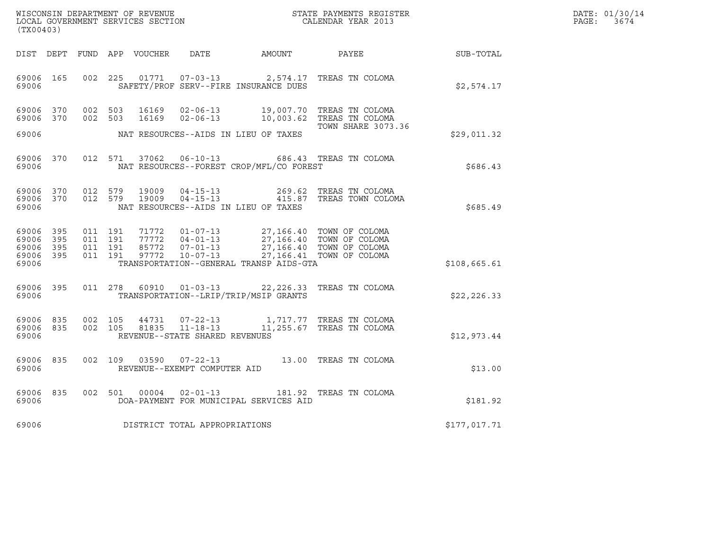| WISCONSIN DEPARTMENT OF REVENUE   | STATE PAYMENTS REGISTER | DATE: 01/30/14            |
|-----------------------------------|-------------------------|---------------------------|
| LOCAL GOVERNMENT SERVICES SECTION | CALENDAR YEAR 2013      | $\mathtt{PAGE}$ :<br>3674 |

|                                                           | ${\tt WISCONSIM\ DEPARTMENT\ OF\ REVENUE}\qquad \qquad {\tt STATE\ PAYMENTS\ REGISTER} \\ {\tt LOCAL\ GOVERNMENT\ SERVICES\ SECTION}\qquad \qquad {\tt CALENDAR\ YEAR\ 2013}$<br>(TX00403) |  |         |                        |                                     |                                                                                                                                                                                                                                                                                                                                                                                               |                                                                                                     |              | DATE: 01/30/14<br>PAGE: 3674 |
|-----------------------------------------------------------|--------------------------------------------------------------------------------------------------------------------------------------------------------------------------------------------|--|---------|------------------------|-------------------------------------|-----------------------------------------------------------------------------------------------------------------------------------------------------------------------------------------------------------------------------------------------------------------------------------------------------------------------------------------------------------------------------------------------|-----------------------------------------------------------------------------------------------------|--------------|------------------------------|
|                                                           |                                                                                                                                                                                            |  |         |                        |                                     |                                                                                                                                                                                                                                                                                                                                                                                               | DIST DEPT FUND APP VOUCHER DATE AMOUNT PAYEE TO SUB-TOTAL                                           |              |                              |
| 69006                                                     | 69006 165                                                                                                                                                                                  |  |         |                        |                                     | SAFETY/PROF SERV--FIRE INSURANCE DUES                                                                                                                                                                                                                                                                                                                                                         | 002 225 01771 07-03-13 2,574.17 TREAS TN COLOMA                                                     | \$2,574.17   |                              |
|                                                           | 69006 370<br>69006 370                                                                                                                                                                     |  | 002 503 | 002 503 16169<br>16169 |                                     |                                                                                                                                                                                                                                                                                                                                                                                               | 02-06-13 19,007.70 TREAS TN COLOMA<br>02-06-13 10,003.62 TREAS TN COLOMA                            |              |                              |
| 69006                                                     |                                                                                                                                                                                            |  |         |                        |                                     | NAT RESOURCES--AIDS IN LIEU OF TAXES                                                                                                                                                                                                                                                                                                                                                          | TOWN SHARE 3073.36                                                                                  | \$29,011.32  |                              |
| 69006                                                     | 69006 370                                                                                                                                                                                  |  |         |                        |                                     | NAT RESOURCES--FOREST CROP/MFL/CO FOREST                                                                                                                                                                                                                                                                                                                                                      | 012 571 37062 06-10-13 686.43 TREAS TN COLOMA                                                       | \$686.43     |                              |
| 69006                                                     | 69006 370<br>69006 370                                                                                                                                                                     |  |         |                        |                                     | NAT RESOURCES--AIDS IN LIEU OF TAXES                                                                                                                                                                                                                                                                                                                                                          | 012 579 19009 04-15-13 269.62 TREAS TN COLOMA<br>012 579 19009 04-15-13 415.87 TREAS TOWN COLOMA    | \$685.49     |                              |
| 69006 395<br>69006 395<br>69006 395<br>69006 395<br>69006 |                                                                                                                                                                                            |  |         |                        |                                     | $\begin{array}{cccccc} 011 & 191 & 71772 & 01\texttt{-}07\texttt{-}13 & 27,166.40 & \texttt{TOWN OF COLDMA} \\ 011 & 191 & 77772 & 04\texttt{-}01\texttt{-}13 & 27,166.40 & \texttt{TOWN OF COLDMA} \\ 011 & 191 & 85772 & 07\texttt{-}01\texttt{-}13 & 27,166.40 & \texttt{TOWN OF COLDMA} \\ 011 & 191 & 97772 & 10\texttt{-}07\texttt{-}13 & 2$<br>TRANSPORTATION--GENERAL TRANSP AIDS-GTA |                                                                                                     | \$108,665.61 |                              |
| 69006                                                     | 69006 395                                                                                                                                                                                  |  |         |                        |                                     | TRANSPORTATION--LRIP/TRIP/MSIP GRANTS                                                                                                                                                                                                                                                                                                                                                         | 011 278 60910 01-03-13 22,226.33 TREAS TN COLOMA                                                    | \$22, 226.33 |                              |
| 69006                                                     | 69006 835<br>69006 835                                                                                                                                                                     |  |         |                        | REVENUE--STATE SHARED REVENUES      |                                                                                                                                                                                                                                                                                                                                                                                               | 002 105 44731 07-22-13 1,717.77 TREAS TN COLOMA<br>002 105 81835 11-18-13 11,255.67 TREAS TN COLOMA | \$12,973.44  |                              |
| 69006                                                     | 69006 835                                                                                                                                                                                  |  |         |                        | REVENUE--EXEMPT COMPUTER AID        |                                                                                                                                                                                                                                                                                                                                                                                               | 002 109 03590 07-22-13 13.00 TREAS TN COLOMA                                                        | \$13.00      |                              |
| 69006                                                     | 69006 835                                                                                                                                                                                  |  |         |                        |                                     | DOA-PAYMENT FOR MUNICIPAL SERVICES AID                                                                                                                                                                                                                                                                                                                                                        | 002 501 00004 02-01-13 181.92 TREAS TN COLOMA                                                       | \$181.92     |                              |
|                                                           |                                                                                                                                                                                            |  |         |                        | 69006 DISTRICT TOTAL APPROPRIATIONS |                                                                                                                                                                                                                                                                                                                                                                                               |                                                                                                     | \$177,017.71 |                              |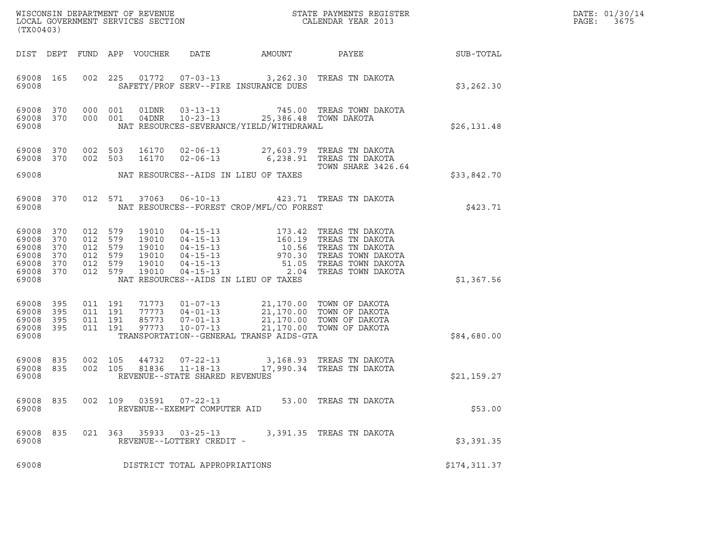| (TX00403)                                                   |                                        |                                                                |         |                                                    |                                                  |                                                                                  | DATE: 01/30/14<br>PAGE:<br>3675                                                                                                                                                                                                                                                                                                              |                  |  |
|-------------------------------------------------------------|----------------------------------------|----------------------------------------------------------------|---------|----------------------------------------------------|--------------------------------------------------|----------------------------------------------------------------------------------|----------------------------------------------------------------------------------------------------------------------------------------------------------------------------------------------------------------------------------------------------------------------------------------------------------------------------------------------|------------------|--|
|                                                             |                                        |                                                                |         | DIST DEPT FUND APP VOUCHER                         | DATE                                             | AMOUNT                                                                           | PAYEE                                                                                                                                                                                                                                                                                                                                        | <b>SUB-TOTAL</b> |  |
| 69008 165<br>69008                                          |                                        |                                                                |         |                                                    |                                                  | SAFETY/PROF SERV--FIRE INSURANCE DUES                                            | 002 225 01772 07-03-13 3,262.30 TREAS TN DAKOTA                                                                                                                                                                                                                                                                                              | \$3,262.30       |  |
| 69008<br>69008<br>69008                                     | 370 000 001<br>370                     | 000 001                                                        |         | 01DNR                                              | $03 - 13 - 13$                                   | 04DNR 10-23-13 25,386.48 TOWN DAKOTA<br>NAT RESOURCES-SEVERANCE/YIELD/WITHDRAWAL | 745.00 TREAS TOWN DAKOTA                                                                                                                                                                                                                                                                                                                     | \$26,131.48      |  |
| 69008<br>69008 370                                          | 370                                    | 002 503<br>002 503                                             |         | 16170<br>16170                                     | $02 - 06 - 13$                                   |                                                                                  | 02-06-13 27,603.79 TREAS TN DAKOTA<br>6,238.91   TREAS  TN  DAKOTA                                                                                                                                                                                                                                                                           |                  |  |
| 69008                                                       |                                        |                                                                |         |                                                    |                                                  | NAT RESOURCES--AIDS IN LIEU OF TAXES                                             | <b>TOWN SHARE 3426.64</b>                                                                                                                                                                                                                                                                                                                    | \$33,842.70      |  |
| 69008                                                       | 69008 370                              |                                                                | 012 571 |                                                    |                                                  | NAT RESOURCES--FOREST CROP/MFL/CO FOREST                                         | 37063  06-10-13  423.71  TREAS TN DAKOTA                                                                                                                                                                                                                                                                                                     | \$423.71         |  |
| 69008<br>69008<br>69008<br>69008<br>69008<br>69008<br>69008 | 370<br>370<br>370<br>370<br>370<br>370 | 012 579<br>012 579<br>012 579<br>012 579<br>012 579<br>012 579 |         | 19010<br>19010<br>19010<br>19010<br>19010<br>19010 |                                                  | NAT RESOURCES--AIDS IN LIEU OF TAXES                                             | $\begin{tabular}{lllllllllllllllllllll} 04-15-13 & 173.42 & \text{TREAS TN DAKOTA} \\ 04-15-13 & 160.19 & \text{TREAS TN DAKOTA} \\ 04-15-13 & 10.56 & \text{TREAS TN DAKOTA} \\ 04-15-13 & 970.30 & \text{TREAS TOWN DAKOTA} \\ 04-15-13 & 51.05 & \text{TREAS TOWN DAKOTA} \\ 04-15-13 & 2.04 & \text{TREAS TOWN DAKOTA} \\ \end{tabular}$ | \$1,367.56       |  |
| 69008<br>69008<br>69008<br>69008<br>69008                   | 395<br>395<br>395<br>395               | 011 191<br>011 191<br>011 191<br>011 191                       |         | 97773                                              | 10-07-13                                         | TRANSPORTATION--GENERAL TRANSP AIDS-GTA                                          | 71773  01-07-13  21,170.00 TOWN OF DAKOTA<br>77773  04-01-13  21,170.00 TOWN OF DAKOTA<br>85773  07-01-13  21,170.00 TOWN OF DAKOTA<br>21,170.00 TOWN OF DAKOTA                                                                                                                                                                              | \$84,680.00      |  |
| 69008<br>69008<br>69008                                     | 835<br>835                             | 002 105<br>002 105                                             |         | 44732<br>81836                                     | $11 - 18 - 13$<br>REVENUE--STATE SHARED REVENUES |                                                                                  | 07-22-13 3,168.93 TREAS TN DAKOTA<br>17,990.34   TREAS TN DAKOTA                                                                                                                                                                                                                                                                             | \$21,159.27      |  |
| 69008<br>69008                                              | 835                                    | 002 109                                                        |         | 03591                                              | $07 - 22 - 13$<br>REVENUE--EXEMPT COMPUTER AID   |                                                                                  | 53.00 TREAS TN DAKOTA                                                                                                                                                                                                                                                                                                                        | \$53.00          |  |
| 69008<br>69008                                              | 835                                    |                                                                | 021 363 | 35933                                              | $03 - 25 - 13$<br>REVENUE--LOTTERY CREDIT -      |                                                                                  | 3,391.35 TREAS TN DAKOTA                                                                                                                                                                                                                                                                                                                     | \$3,391.35       |  |
| 69008                                                       |                                        |                                                                |         |                                                    | DISTRICT TOTAL APPROPRIATIONS                    |                                                                                  |                                                                                                                                                                                                                                                                                                                                              | \$174,311.37     |  |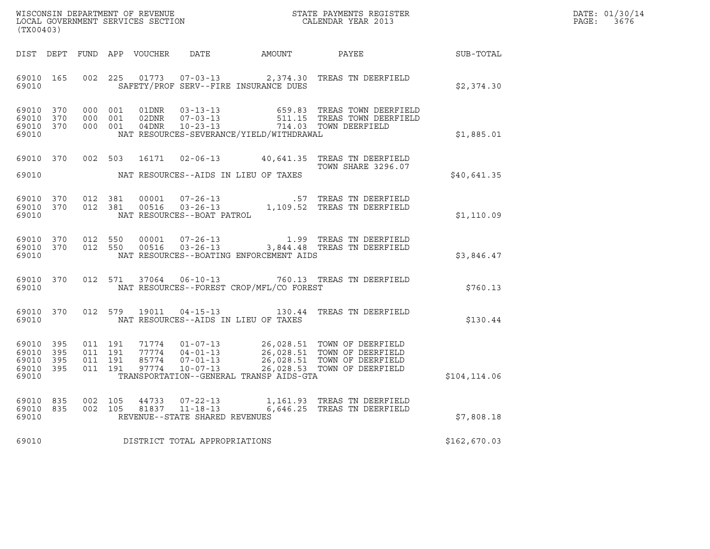| WISCONSIN DEPARTMENT OF REVENUE   | STATE PAYMENTS REGISTER | DATE: 01/30/14 |
|-----------------------------------|-------------------------|----------------|
| LOCAL GOVERNMENT SERVICES SECTION | CALENDAR YEAR 2013      | PAGE:<br>3676  |

| WISCONSIN DEPARTMENT OF REVENUE<br>LOCAL GOVERNMENT SERVICES SECTION THE SERM OF CALENDAR YEAR 2013<br>(TX00403) |     |                   |         |  |                                |                                              |                                                                                                                                                                                                                      |              | DATE: 01/30/14<br>PAGE:<br>3676 |
|------------------------------------------------------------------------------------------------------------------|-----|-------------------|---------|--|--------------------------------|----------------------------------------------|----------------------------------------------------------------------------------------------------------------------------------------------------------------------------------------------------------------------|--------------|---------------------------------|
|                                                                                                                  |     |                   |         |  |                                | DIST DEPT FUND APP VOUCHER DATE AMOUNT PAYEE |                                                                                                                                                                                                                      | SUB-TOTAL    |                                 |
| 69010 165<br>69010                                                                                               |     |                   | 002 225 |  |                                | SAFETY/PROF SERV--FIRE INSURANCE DUES        | 01773  07-03-13  2,374.30  TREAS TN DEERFIELD                                                                                                                                                                        | \$2,374.30   |                                 |
| 69010 370<br>69010 370<br>69010 370<br>69010                                                                     |     |                   |         |  |                                | NAT RESOURCES-SEVERANCE/YIELD/WITHDRAWAL     | 000 001 01DNR 03-13-13 659.83 TREAS TOWN DEERFIELD<br>000 001 02DNR 07-03-13 511.15 TREAS TOWN DEERFIELD<br>000 001 04DNR 10-23-13 714.03 TOWN DEERFIELD                                                             | \$1,885.01   |                                 |
| 69010                                                                                                            |     |                   |         |  |                                | NAT RESOURCES--AIDS IN LIEU OF TAXES         | 69010 370 002 503 16171 02-06-13 40,641.35 TREAS TN DEERFIELD<br>TOWN SHARE 3296.07                                                                                                                                  | \$40,641.35  |                                 |
| 69010                                                                                                            |     |                   |         |  | NAT RESOURCES--BOAT PATROL     |                                              |                                                                                                                                                                                                                      | \$1,110.09   |                                 |
| 69010 370<br>69010                                                                                               |     | 69010 370 012 550 | 012 550 |  |                                | NAT RESOURCES--BOATING ENFORCEMENT AIDS      |                                                                                                                                                                                                                      | \$3,846.47   |                                 |
| 69010                                                                                                            |     |                   |         |  |                                | NAT RESOURCES--FOREST CROP/MFL/CO FOREST     | 69010 370 012 571 37064 06-10-13 760.13 TREAS TN DEERFIELD                                                                                                                                                           | \$760.13     |                                 |
| 69010                                                                                                            |     |                   |         |  |                                | NAT RESOURCES--AIDS IN LIEU OF TAXES         | 69010 370 012 579 19011 04-15-13 130.44 TREAS TN DEERFIELD                                                                                                                                                           | \$130.44     |                                 |
| 69010 395<br>69010<br>69010 395<br>69010 395<br>69010                                                            | 395 |                   |         |  |                                | TRANSPORTATION--GENERAL TRANSP AIDS-GTA      | 011 191 71774 01-07-13 26,028.51 TOWN OF DEERFIELD<br>011 191 77774 04-01-13 26,028.51 TOWN OF DEERFIELD<br>011 191 85774 07-01-13 26,028.51 TOWN OF DEERFIELD<br>011 191 97774 10-07-13 26,028.53 TOWN OF DEERFIELD | \$104,114.06 |                                 |
| 69010 835<br>69010 835<br>69010                                                                                  |     | 002 105           | 002 105 |  | REVENUE--STATE SHARED REVENUES |                                              | 44733  07-22-13   1,161.93   TREAS TN DEERFIELD<br>81837   11-18-13   6,646.25   TREAS TN DEERFIELD                                                                                                                  | \$7,808.18   |                                 |
| 69010                                                                                                            |     |                   |         |  | DISTRICT TOTAL APPROPRIATIONS  |                                              |                                                                                                                                                                                                                      | \$162,670.03 |                                 |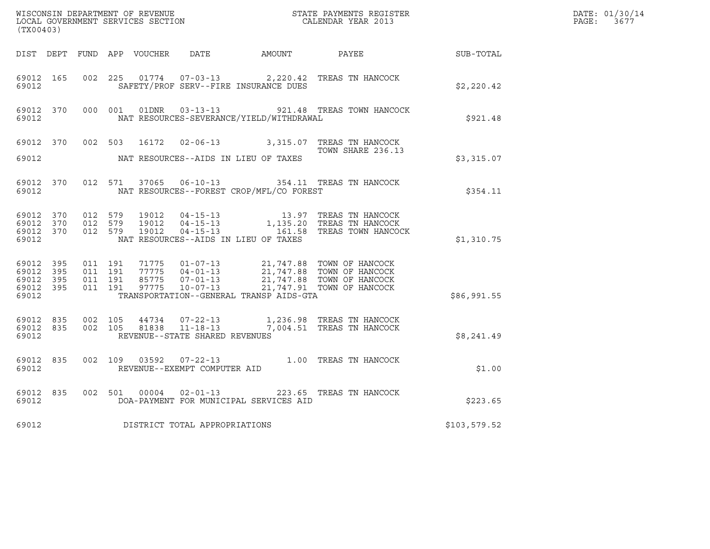| WISCONSIN DEPARTMENT OF REVENUE<br>LOCAL GOVERNMENT SERVICES SECTION<br>CALENDAR YEAR 2013<br>(TX00403) |                    |                                        |                    |                                       |                                          |                                                                                                                                                                                          | $\mathcal{L}(\mathcal{L}^{\text{max}}_{\mathcal{L}^{\text{max}}_{\mathcal{L}^{\text{max}}_{\mathcal{L}^{\text{max}}_{\mathcal{L}^{\text{max}}_{\mathcal{L}^{\text{max}}_{\mathcal{L}^{\text{max}}_{\mathcal{L}^{\text{max}}_{\mathcal{L}^{\text{max}}_{\mathcal{L}^{\text{max}}_{\mathcal{L}^{\text{max}}_{\mathcal{L}^{\text{max}}_{\mathcal{L}^{\text{max}}_{\mathcal{L}^{\text{max}}_{\mathcal{L}^{\text{max}}_{\mathcal{L}^{\text{max}}_{\mathcal{L}$ | DATE: 01/30/14<br>PAGE: 3677 |
|---------------------------------------------------------------------------------------------------------|--------------------|----------------------------------------|--------------------|---------------------------------------|------------------------------------------|------------------------------------------------------------------------------------------------------------------------------------------------------------------------------------------|-----------------------------------------------------------------------------------------------------------------------------------------------------------------------------------------------------------------------------------------------------------------------------------------------------------------------------------------------------------------------------------------------------------------------------------------------------------|------------------------------|
|                                                                                                         |                    |                                        |                    |                                       |                                          | DIST DEPT FUND APP VOUCHER DATE AMOUNT PAYEE SUB-TOTAL                                                                                                                                   |                                                                                                                                                                                                                                                                                                                                                                                                                                                           |                              |
| 69012                                                                                                   | 69012 165          |                                        |                    | SAFETY/PROF SERV--FIRE INSURANCE DUES |                                          | 002 225 01774 07-03-13 2,220.42 TREAS TN HANCOCK                                                                                                                                         | \$2,220.42                                                                                                                                                                                                                                                                                                                                                                                                                                                |                              |
| 69012                                                                                                   |                    |                                        |                    |                                       | NAT RESOURCES-SEVERANCE/YIELD/WITHDRAWAL | 69012 370 000 001 01DNR 03-13-13 921.48 TREAS TOWN HANCOCK                                                                                                                               | \$921.48                                                                                                                                                                                                                                                                                                                                                                                                                                                  |                              |
|                                                                                                         |                    |                                        |                    |                                       |                                          | 69012 370 002 503 16172 02-06-13 3,315.07 TREAS TN HANCOCK<br>TOWN SHARE 236.13                                                                                                          |                                                                                                                                                                                                                                                                                                                                                                                                                                                           |                              |
|                                                                                                         |                    |                                        |                    |                                       |                                          |                                                                                                                                                                                          | \$3,315.07                                                                                                                                                                                                                                                                                                                                                                                                                                                |                              |
|                                                                                                         | 69012              |                                        |                    |                                       | NAT RESOURCES--FOREST CROP/MFL/CO FOREST | 69012 370 012 571 37065 06-10-13 354.11 TREAS TN HANCOCK                                                                                                                                 | \$354.11                                                                                                                                                                                                                                                                                                                                                                                                                                                  |                              |
|                                                                                                         | 69012 370<br>69012 | 69012 370 012 579<br>69012 370 012 579 |                    | NAT RESOURCES--AIDS IN LIEU OF TAXES  |                                          | 012 579 19012 04-15-13 13.97 TREAS TN HANCOCK<br>012 579 19012 04-15-13 1,135.20 TREAS TN HANCOCK<br>012 579 19012 04-15-13 161.58 TREAS TOWN HANCOCK                                    | \$1,310.75                                                                                                                                                                                                                                                                                                                                                                                                                                                |                              |
| 69012 395<br>69012 395<br>69012 395<br>69012                                                            | 69012 395          | 011 191<br>011 191                     | 011 191<br>011 191 |                                       | TRANSPORTATION--GENERAL TRANSP AIDS-GTA  | 71775  01-07-13  21,747.88  TOWN OF HANCOCK<br>77775  04-01-13  21,747.88  TOWN OF HANCOCK<br>85775  07-01-13  21,747.88  TOWN OF HANCOCK<br>97775  10-07-13  21,747.91  TOWN OF HANCOCK | \$86,991.55                                                                                                                                                                                                                                                                                                                                                                                                                                               |                              |
| 69012                                                                                                   | 69012 835          | 69012 835 002 105                      |                    | REVENUE--STATE SHARED REVENUES        |                                          | 44734 07-22-13 1,236.98 TREAS TN HANCOCK<br>002 105 81838 11-18-13 7,004.51 TREAS TN HANCOCK                                                                                             | \$8,241.49                                                                                                                                                                                                                                                                                                                                                                                                                                                |                              |
| 69012                                                                                                   | 69012 835          |                                        |                    | REVENUE--EXEMPT COMPUTER AID          |                                          | 002 109 03592 07-22-13 1.00 TREAS TN HANCOCK                                                                                                                                             | \$1.00                                                                                                                                                                                                                                                                                                                                                                                                                                                    |                              |
| 69012                                                                                                   |                    |                                        |                    |                                       | DOA-PAYMENT FOR MUNICIPAL SERVICES AID   | 69012 835 002 501 00004 02-01-13 223.65 TREAS TN HANCOCK                                                                                                                                 | \$223.65                                                                                                                                                                                                                                                                                                                                                                                                                                                  |                              |
| 69012                                                                                                   |                    |                                        |                    | DISTRICT TOTAL APPROPRIATIONS         |                                          |                                                                                                                                                                                          | \$103,579.52                                                                                                                                                                                                                                                                                                                                                                                                                                              |                              |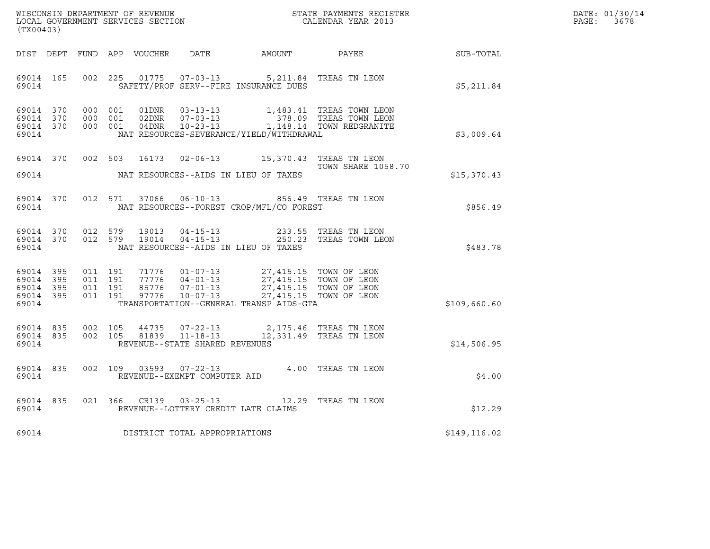| DATE: | 01/30/14 |
|-------|----------|
| PAGE: | 3678     |

| (TX00403)                                                 |  |  |                    |                        |                                     |                                                                                         |                                                        | $R = \frac{1}{2}$ | DATE: 01/30/14<br>$\mathtt{PAGE:}$<br>3678 |
|-----------------------------------------------------------|--|--|--------------------|------------------------|-------------------------------------|-----------------------------------------------------------------------------------------|--------------------------------------------------------|-------------------|--------------------------------------------|
|                                                           |  |  |                    |                        |                                     |                                                                                         | DIST DEPT FUND APP VOUCHER DATE AMOUNT PAYEE SUB-TOTAL |                   |                                            |
| 69014 165<br>69014                                        |  |  |                    |                        |                                     | 002 225 01775 07-03-13 5,211.84 TREAS TN LEON<br>SAFETY/PROF SERV--FIRE INSURANCE DUES  |                                                        | \$5,211.84        |                                            |
| 69014 370<br>69014 370<br>69014 370<br>69014              |  |  |                    |                        |                                     |                                                                                         | NAT RESOURCES-SEVERANCE/YIELD/WITHDRAWAL               | \$3,009.64        |                                            |
| 69014 370<br>69014                                        |  |  |                    |                        |                                     | 002 503 16173 02-06-13 15,370.43 TREAS TN LEON<br>NAT RESOURCES--AIDS IN LIEU OF TAXES  | <b>TOWN SHARE 1058.70</b>                              | \$15,370.43       |                                            |
| 69014 370<br>69014                                        |  |  |                    |                        |                                     | 012 571 37066 06-10-13 856.49 TREAS TN LEON<br>NAT RESOURCES--FOREST CROP/MFL/CO FOREST |                                                        | \$856.49          |                                            |
| 69014 370<br>69014 370<br>69014                           |  |  | 012 579            | 19013<br>012 579 19014 |                                     | NAT RESOURCES--AIDS IN LIEU OF TAXES                                                    |                                                        | \$483.78          |                                            |
| 69014 395<br>69014 395<br>69014 395<br>69014 395<br>69014 |  |  |                    |                        |                                     | TRANSPORTATION--GENERAL TRANSP AIDS-GTA                                                 |                                                        | \$109,660.60      |                                            |
| 69014 835<br>69014 835<br>69014                           |  |  | 002 105<br>002 105 |                        | REVENUE--STATE SHARED REVENUES      | $44735$ $07-22-13$ $2,175.46$ TREAS TN LEON<br>81839 11-18-13 12,331.49 TREAS TN LEON   |                                                        | \$14,506.95       |                                            |
| 69014 835<br>69014                                        |  |  |                    |                        | REVENUE--EXEMPT COMPUTER AID        | 002 109 03593 07-22-13 4.00 TREAS TN LEON                                               |                                                        | \$4.00            |                                            |
| 69014 835<br>69014                                        |  |  |                    |                        |                                     | 021 366 CR139 03-25-13 12.29 TREAS TN LEON<br>REVENUE--LOTTERY CREDIT LATE CLAIMS       |                                                        | \$12.29           |                                            |
|                                                           |  |  |                    |                        | 69014 DISTRICT TOTAL APPROPRIATIONS |                                                                                         |                                                        | \$149,116.02      |                                            |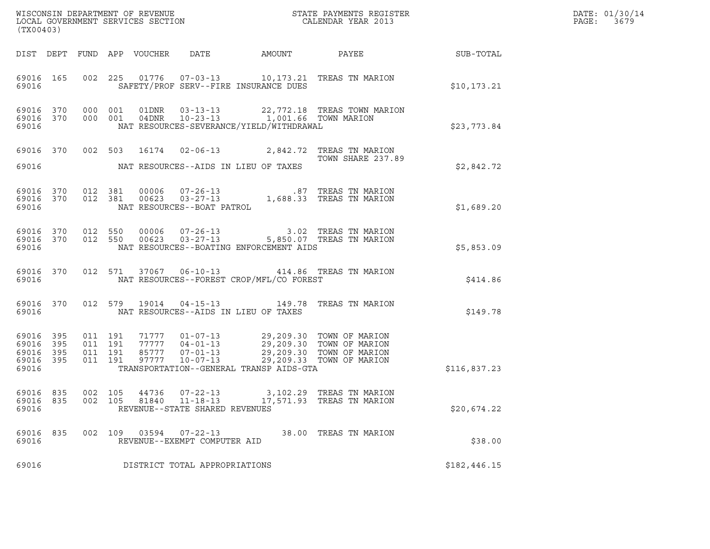| (TX00403)                                     |                     |                                          | WISCONSIN DEPARTMENT OF REVENUE<br>LOCAL GOVERNMENT SERVICES SECTION                      |                                                                                                                                                                                  | STATE PAYMENTS REGISTER<br>CALENDAR YEAR 2013         |              | DATE: 01/30/14<br>PAGE:<br>3679 |
|-----------------------------------------------|---------------------|------------------------------------------|-------------------------------------------------------------------------------------------|----------------------------------------------------------------------------------------------------------------------------------------------------------------------------------|-------------------------------------------------------|--------------|---------------------------------|
|                                               |                     |                                          | DIST DEPT FUND APP VOUCHER<br>DATE                                                        | AMOUNT PAYEE                                                                                                                                                                     |                                                       | SUB-TOTAL    |                                 |
| 69016 165<br>69016                            |                     |                                          | 002 225 01776 07-03-13 10,173.21 TREAS TN MARION<br>SAFETY/PROF SERV--FIRE INSURANCE DUES |                                                                                                                                                                                  |                                                       | \$10, 173.21 |                                 |
| 69016                                         | 69016 370           | 69016 370 000 001<br>000 001             | NAT RESOURCES-SEVERANCE/YIELD/WITHDRAWAL                                                  | 01DNR  03-13-13  22,772.18  TREAS TOWN MARION<br>04DNR  10-23-13  1,001.66  TOWN MARION                                                                                          |                                                       | \$23,773.84  |                                 |
| 69016                                         | 69016 370           |                                          | 002 503 16174 02-06-13 2,842.72 TREAS TN MARION<br>NAT RESOURCES--AIDS IN LIEU OF TAXES   |                                                                                                                                                                                  | TOWN SHARE 237.89                                     | \$2,842.72   |                                 |
| 69016 370<br>69016                            |                     | 69016 370 012 381<br>012 381             | 00006<br>00623<br>NAT RESOURCES--BOAT PATROL                                              | 07-26-13 1,688.33 TREAS TN MARION<br>03-27-13 1,688.33 TREAS TN MARION                                                                                                           |                                                       | \$1,689.20   |                                 |
| 69016 370<br>69016 370<br>69016               |                     | 012 550                                  | 012 550<br>NAT RESOURCES--BOATING ENFORCEMENT AIDS                                        | 00006  07-26-13  3.02  TREAS TN MARION<br>00623  03-27-13  5,850.07  TREAS TN MARION                                                                                             |                                                       | \$5,853.09   |                                 |
| 69016 370<br>69016                            |                     |                                          | 012 571 37067 06-10-13 414.86 TREAS TN MARION<br>NAT RESOURCES--FOREST CROP/MFL/CO FOREST |                                                                                                                                                                                  |                                                       | \$414.86     |                                 |
| 69016 370<br>69016                            |                     |                                          | 012 579 19014 04-15-13 149.78 TREAS TN MARION<br>NAT RESOURCES--AIDS IN LIEU OF TAXES     |                                                                                                                                                                                  |                                                       | \$149.78     |                                 |
| 69016 395<br>69016<br>69016<br>69016<br>69016 | 395<br>395<br>- 395 | 011 191<br>011 191<br>011 191<br>011 191 | TRANSPORTATION--GENERAL TRANSP AIDS-GTA                                                   | 71777  01-07-13  29,209.30 TOWN OF MARION<br>77777  04-01-13  29,209.30 TOWN OF MARION<br>85777  07-01-13  29,209.30 TOWN OF MARION<br>97777  10-07-13  29,209.33 TOWN OF MARION |                                                       | \$116,837.23 |                                 |
| 69016 835<br>69016<br>69016                   | 835                 | 002 105<br>002 105                       | 44736<br>$07 - 22 - 13$<br>81840<br>11-18-13<br>REVENUE--STATE SHARED REVENUES            |                                                                                                                                                                                  | 3,102.29 TREAS TN MARION<br>17,571.93 TREAS TN MARION | \$20,674.22  |                                 |
| 69016<br>69016                                | 835                 | 002 109                                  | 03594<br>07-22-13<br>REVENUE--EXEMPT COMPUTER AID                                         |                                                                                                                                                                                  | 38.00 TREAS TN MARION                                 | \$38.00      |                                 |
| 69016                                         |                     |                                          | DISTRICT TOTAL APPROPRIATIONS                                                             |                                                                                                                                                                                  |                                                       | \$182,446.15 |                                 |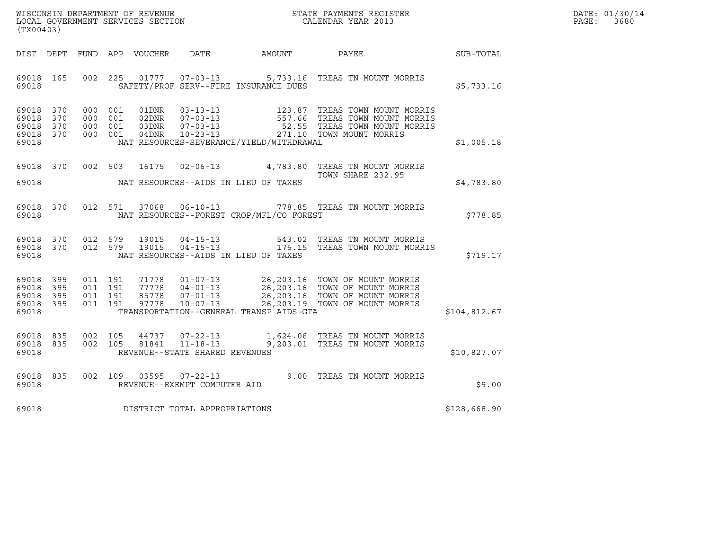| WISCONSIN DEPARTMENT OF REVENUE   | STATE PAYMENTS REGISTER | DATE: 01/30/14 |
|-----------------------------------|-------------------------|----------------|
| LOCAL GOVERNMENT SERVICES SECTION | CALENDAR YEAR 2013      | PAGE:<br>3680  |

| WISCONSIN DEPARTMENT OF REVENUE<br>LOCAL GOVERNMENT SERVICES SECTION<br>(TYO0403)<br>(TX00403) |  |         |  |  |                                |                                              |                                                                                                                                                                                                                                                                             |              | DATE: 01/30/14<br>PAGE:<br>3680 |
|------------------------------------------------------------------------------------------------|--|---------|--|--|--------------------------------|----------------------------------------------|-----------------------------------------------------------------------------------------------------------------------------------------------------------------------------------------------------------------------------------------------------------------------------|--------------|---------------------------------|
|                                                                                                |  |         |  |  |                                | DIST DEPT FUND APP VOUCHER DATE AMOUNT PAYEE |                                                                                                                                                                                                                                                                             | SUB-TOTAL    |                                 |
| 69018 165<br>69018                                                                             |  |         |  |  |                                | SAFETY/PROF SERV--FIRE INSURANCE DUES        | 002 225 01777 07-03-13 5,733.16 TREAS TN MOUNT MORRIS                                                                                                                                                                                                                       | \$5,733.16   |                                 |
| 69018 370<br>69018 370<br>69018 370<br>69018 370<br>69018                                      |  |         |  |  |                                | NAT RESOURCES-SEVERANCE/YIELD/WITHDRAWAL     | 000 001 01DNR 03-13-13 123.87 TREAS TOWN MOUNT MORRIS<br>000 001 02DNR 07-03-13 557.66 TREAS TOWN MOUNT MORRIS<br>000 001 03DNR 07-03-13 52.55 TREAS TOWN MOUNT MORRIS<br>000 001 04DNR 10-23-13 271.10 TOWN MOUNT MORRIS                                                   | \$1,005.18   |                                 |
| 69018 370<br>69018                                                                             |  | 002 503 |  |  |                                | NAT RESOURCES--AIDS IN LIEU OF TAXES         | 16175  02-06-13  4,783.80  TREAS TN MOUNT MORRIS<br>TOWN SHARE 232.95                                                                                                                                                                                                       | \$4,783.80   |                                 |
| 69018 370<br>69018                                                                             |  |         |  |  |                                | NAT RESOURCES--FOREST CROP/MFL/CO FOREST     | 012 571 37068 06-10-13 778.85 TREAS TN MOUNT MORRIS                                                                                                                                                                                                                         | \$778.85     |                                 |
| 69018 370<br>69018 370<br>69018                                                                |  |         |  |  |                                | NAT RESOURCES--AIDS IN LIEU OF TAXES         |                                                                                                                                                                                                                                                                             | \$719.17     |                                 |
| 69018 395<br>69018 395<br>69018 395<br>69018 395<br>69018                                      |  |         |  |  |                                |                                              | 011 191 71778 01-07-13 26,203.16 TOWN OF MOUNT MORRIS<br>011 191 77778 04-01-13 26,203.16 TOWN OF MOUNT MORRIS<br>011 191 85778 07-01-13 26,203.16 TOWN OF MOUNT MORRIS<br>011 191 97778 10-07-13 26,203.19 TOWN OF MOUNT MORRIS<br>TRANSPORTATION--GENERAL TRANSP AIDS-GTA | \$104,812.67 |                                 |
| 69018 835<br>69018 835<br>69018                                                                |  |         |  |  | REVENUE--STATE SHARED REVENUES |                                              | 002 105  44737  07-22-13   1,624.06 TREAS TN MOUNT MORRIS<br>002  105  81841  11-18-13   9,203.01 TREAS TN MOUNT MORRIS                                                                                                                                                     | \$10,827.07  |                                 |
| 69018 835<br>69018                                                                             |  |         |  |  | REVENUE--EXEMPT COMPUTER AID   |                                              | 002 109 03595 07-22-13 9.00 TREAS TN MOUNT MORRIS                                                                                                                                                                                                                           | \$9.00       |                                 |
| 69018                                                                                          |  |         |  |  | DISTRICT TOTAL APPROPRIATIONS  |                                              |                                                                                                                                                                                                                                                                             | \$128,668.90 |                                 |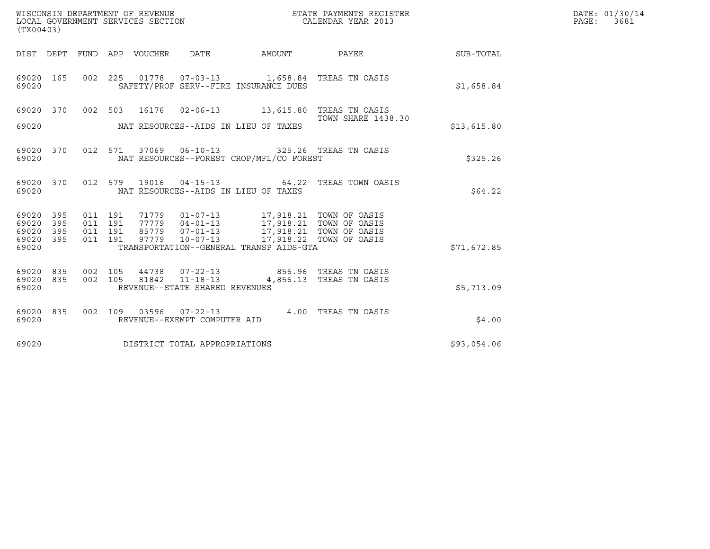| (TX00403)                                                             | WISCONSIN DEPARTMENT OF REVENUE<br>LOCAL GOVERNMENT SERVICES SECTION                                                                                                                                                                                  | STATE PAYMENTS REGISTER<br>CALENDAR YEAR 2013 |             | DATE: 01/30/14<br>PAGE: 3681 |
|-----------------------------------------------------------------------|-------------------------------------------------------------------------------------------------------------------------------------------------------------------------------------------------------------------------------------------------------|-----------------------------------------------|-------------|------------------------------|
|                                                                       | DIST DEPT FUND APP VOUCHER DATE AMOUNT PAYEE TO SUB-TOTAL                                                                                                                                                                                             |                                               |             |                              |
| 69020 165<br>69020                                                    | 002 225 01778 07-03-13 1,658.84 TREAS TN OASIS<br>SAFETY/PROF SERV--FIRE INSURANCE DUES                                                                                                                                                               |                                               | \$1,658.84  |                              |
| 69020                                                                 | 69020 370 002 503 16176 02-06-13 13,615.80 TREAS TN OASIS<br>NAT RESOURCES--AIDS IN LIEU OF TAXES                                                                                                                                                     | <b>TOWN SHARE 1438.30</b>                     | \$13,615.80 |                              |
| 69020 370<br>69020                                                    | 012 571 37069 06-10-13 325.26 TREAS TN OASIS<br>NAT RESOURCES--FOREST CROP/MFL/CO FOREST                                                                                                                                                              |                                               | \$325.26    |                              |
| 69020 370<br>69020                                                    | 012 579 19016 04-15-13 64.22 TREAS TOWN OASIS<br>NAT RESOURCES--AIDS IN LIEU OF TAXES                                                                                                                                                                 |                                               | \$64.22     |                              |
| 69020<br>395<br>395<br>69020<br>69020<br>395<br>395<br>69020<br>69020 | 011 191<br>71779  01-07-13  17,918.21  TOWN OF OASIS<br>77779  04-01-13  17,918.21  TOWN OF OASIS<br>85779  07-01-13  17,918.21  TOWN OF OASIS<br>011 191<br>011 191<br>$10 - 07 - 13$<br>011 191<br>97779<br>TRANSPORTATION--GENERAL TRANSP AIDS-GTA | 17,918.22 TOWN OF OASIS                       | \$71,672.85 |                              |
| 69020 835<br>835<br>69020<br>69020                                    | 44738  07-22-13  856.96  TREAS TN OASIS<br>002 105<br>11-18-13 4,856.13 TREAS TN OASIS<br>002 105<br>81842<br>REVENUE--STATE SHARED REVENUES                                                                                                          |                                               | \$5,713.09  |                              |
| 69020 835<br>69020                                                    | 002 109 03596 07-22-13 4.00 TREAS TN OASIS<br>REVENUE--EXEMPT COMPUTER AID                                                                                                                                                                            |                                               | \$4.00      |                              |
| 69020                                                                 | DISTRICT TOTAL APPROPRIATIONS                                                                                                                                                                                                                         |                                               | \$93,054.06 |                              |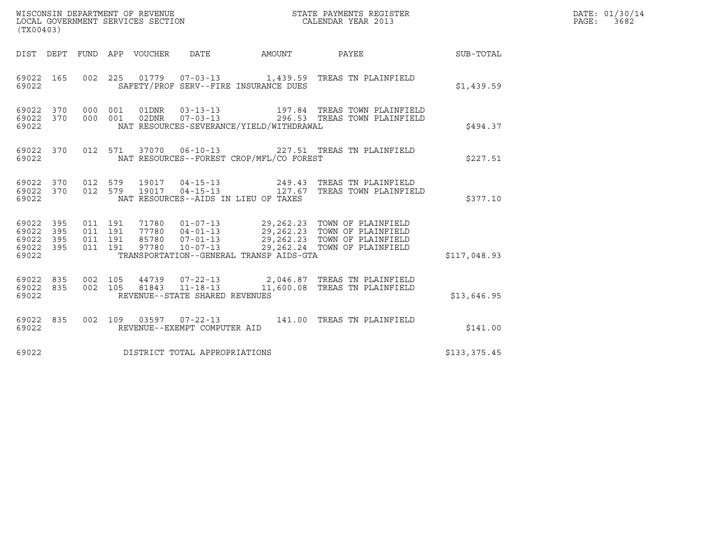| WISCONSIN DEPARTMENT OF REVENUE<br>STATE PAYMENTS REGISTER<br>LOCAL GOVERNMENT SERVICES SECTION<br>CALENDAR YEAR 2013<br>(TX00403) |  |                                          |  |                                |                                          |                                                                                                                                                                                                      |                  | DATE: 01/30/14<br>PAGE: 3682 |
|------------------------------------------------------------------------------------------------------------------------------------|--|------------------------------------------|--|--------------------------------|------------------------------------------|------------------------------------------------------------------------------------------------------------------------------------------------------------------------------------------------------|------------------|------------------------------|
| DIST DEPT FUND APP VOUCHER DATE                                                                                                    |  |                                          |  |                                | AMOUNT                                   | PAYEE                                                                                                                                                                                                | <b>SUB-TOTAL</b> |                              |
| 69022 165<br>69022                                                                                                                 |  |                                          |  |                                | SAFETY/PROF SERV--FIRE INSURANCE DUES    | 002 225 01779 07-03-13 1,439.59 TREAS TN PLAINFIELD                                                                                                                                                  | \$1,439.59       |                              |
| 69022<br>370<br>370<br>69022<br>69022                                                                                              |  | 000 001<br>000 001                       |  | 02DNR        07-03-13          | NAT RESOURCES-SEVERANCE/YIELD/WITHDRAWAL | 197.84 TREAS TOWN PLAINFIELD<br>296.53 TREAS TOWN PLAINFIELD                                                                                                                                         | \$494.37         |                              |
| 69022 370<br>69022                                                                                                                 |  | 012 571                                  |  |                                | NAT RESOURCES--FOREST CROP/MFL/CO FOREST | 37070  06-10-13  227.51  TREAS TN PLAINFIELD                                                                                                                                                         | \$227.51         |                              |
| 69022<br>370<br>69022<br>370<br>69022                                                                                              |  |                                          |  |                                | NAT RESOURCES--AIDS IN LIEU OF TAXES     |                                                                                                                                                                                                      | \$377.10         |                              |
| 69022<br>395<br>69022<br>395<br>69022<br>395<br>69022<br>395<br>69022                                                              |  | 011 191<br>011 191<br>011 191<br>011 191 |  |                                | TRANSPORTATION--GENERAL TRANSP AIDS-GTA  | 71780  01-07-13  29,262.23  TOWN OF PLAINFIELD<br>77780  04-01-13  29,262.23  TOWN OF PLAINFIELD<br>85780  07-01-13  29,262.23  TOWN OF PLAINFIELD<br>97780  10-07-13  29,262.24  TOWN OF PLAINFIELD | \$117,048.93     |                              |
| 69022<br>835<br>835<br>69022<br>69022                                                                                              |  | 002 105<br>002 105                       |  | REVENUE--STATE SHARED REVENUES |                                          | 44739  07-22-13  2,046.87  TREAS TN PLAINFIELD<br>81843  11-18-13  11,600.08  TREAS TN PLAINFIELD                                                                                                    | \$13,646.95      |                              |
| 69022<br>835<br>69022                                                                                                              |  |                                          |  | REVENUE--EXEMPT COMPUTER AID   |                                          | 002 109 03597 07-22-13 141.00 TREAS TN PLAINFIELD                                                                                                                                                    | \$141.00         |                              |
| 69022                                                                                                                              |  |                                          |  | DISTRICT TOTAL APPROPRIATIONS  |                                          |                                                                                                                                                                                                      | \$133,375.45     |                              |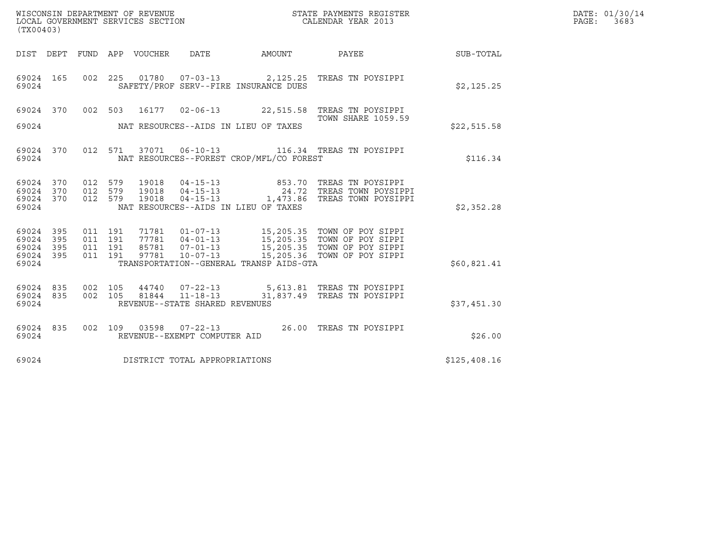| (TX00403)                                         |            |                                          |         |                                 | WISCONSIN DEPARTMENT OF REVENUE<br>LOCAL GOVERNMENT SERVICES SECTION |                                          | STATE PAYMENTS REGISTER<br>CALENDAR YEAR 2013                                                                                                                                                      |              | DATE: 01/30/14<br>PAGE: 3683 |
|---------------------------------------------------|------------|------------------------------------------|---------|---------------------------------|----------------------------------------------------------------------|------------------------------------------|----------------------------------------------------------------------------------------------------------------------------------------------------------------------------------------------------|--------------|------------------------------|
|                                                   |            |                                          |         | DIST DEPT FUND APP VOUCHER DATE |                                                                      |                                          | AMOUNT PAYEE SUB-TOTAL                                                                                                                                                                             |              |                              |
| 69024 165<br>69024                                |            | 002 225                                  |         | 01780                           |                                                                      | SAFETY/PROF SERV--FIRE INSURANCE DUES    | 07-03-13 2,125.25 TREAS TN POYSIPPI                                                                                                                                                                | \$2,125.25   |                              |
| 69024 370                                         |            |                                          |         |                                 |                                                                      |                                          | 002 503 16177 02-06-13 22,515.58 TREAS TN POYSIPPI                                                                                                                                                 |              |                              |
| 69024                                             |            |                                          |         |                                 |                                                                      | NAT RESOURCES--AIDS IN LIEU OF TAXES     | <b>TOWN SHARE 1059.59</b>                                                                                                                                                                          | \$22,515.58  |                              |
| 69024                                             | 69024 370  |                                          |         |                                 |                                                                      | NAT RESOURCES--FOREST CROP/MFL/CO FOREST | 012 571 37071 06-10-13 116.34 TREAS TN POYSIPPI                                                                                                                                                    | \$116.34     |                              |
| 69024 370<br>69024 370<br>69024 370<br>69024      |            | 012 579<br>012 579<br>012 579            |         | 19018<br>19018<br>19018         | $04 - 15 - 13$<br>$04 - 15 - 13$                                     | NAT RESOURCES--AIDS IN LIEU OF TAXES     | 853.70 TREAS TN POYSIPPI<br>24.72 TREAS TOWN POYSIPPI<br>04-15-13 1,473.86 TREAS TOWN POYSIPPI                                                                                                     | \$2,352.28   |                              |
| 69024 395<br>69024<br>69024<br>69024 395<br>69024 | 395<br>395 | 011 191<br>011 191<br>011 191<br>011 191 |         |                                 |                                                                      | TRANSPORTATION--GENERAL TRANSP AIDS-GTA  | 71781  01-07-13   15,205.35   TOWN OF POY SIPPI<br>77781  04-01-13  15,205.35  TOWN OF POY SIPPI<br>85781  07-01-13  15,205.35  TOWN OF POY SIPPI<br>97781  10-07-13  15,205.36  TOWN OF POY SIPPI | \$60,821.41  |                              |
| 69024 835<br>69024 835<br>69024                   |            | 002 105                                  | 002 105 |                                 | REVENUE--STATE SHARED REVENUES                                       |                                          | 44740  07-22-13  5,613.81  TREAS TN POYSIPPI<br>81844 11-18-13 31,837.49 TREAS TN POYSIPPI                                                                                                         | \$37,451.30  |                              |
| 69024 835<br>69024                                |            | 002 109                                  |         |                                 | REVENUE--EXEMPT COMPUTER AID                                         |                                          |                                                                                                                                                                                                    | \$26.00      |                              |
| 69024                                             |            |                                          |         |                                 | DISTRICT TOTAL APPROPRIATIONS                                        |                                          |                                                                                                                                                                                                    | \$125,408.16 |                              |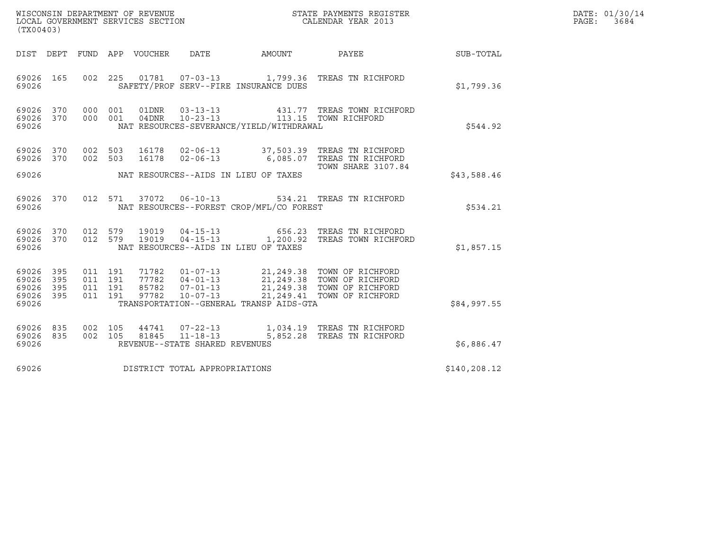| WISCONSIN DEPARTMENT OF REVENUE<br>LOCAL GOVERNMENT SERVICES SECTION<br>(TX00403) | STATE PAYMENTS REGISTER<br>CALENDAR YEAR 2013 | DATE: 01/30/14<br>PAGE:<br>3684 |
|-----------------------------------------------------------------------------------|-----------------------------------------------|---------------------------------|

| (TX00403)                                 |                                                      |                                                     |                                                                                                                  |          |                                                                                                                      |              |
|-------------------------------------------|------------------------------------------------------|-----------------------------------------------------|------------------------------------------------------------------------------------------------------------------|----------|----------------------------------------------------------------------------------------------------------------------|--------------|
| DIST                                      | FUND<br>DEPT                                         | APP<br>VOUCHER                                      | DATE                                                                                                             | AMOUNT   | PAYEE                                                                                                                | SUB-TOTAL    |
| 69026<br>69026                            | 165                                                  | 002 225                                             | SAFETY/PROF SERV--FIRE INSURANCE DUES                                                                            |          | 01781  07-03-13    1,799.36    TREAS TN RICHFORD                                                                     | \$1,799.36   |
| 69026<br>69026<br>69026                   | 370<br>000<br>370<br>000                             | 001<br>01DNR<br>001<br>04DNR                        | $03 - 13 - 13$<br>$10 - 23 - 13$<br>NAT RESOURCES-SEVERANCE/YIELD/WITHDRAWAL                                     |          | 431.77 TREAS TOWN RICHFORD<br>113.15 TOWN RICHFORD                                                                   | \$544.92     |
| 69026<br>69026                            | 370<br>370<br>002                                    | 002 503<br>16178<br>16178<br>503                    | $02 - 06 - 13$                                                                                                   |          | 02-06-13 37,503.39 TREAS TN RICHFORD<br>6,085.07 TREAS TN RICHFORD<br><b>TOWN SHARE 3107.84</b>                      |              |
| 69026                                     |                                                      |                                                     | NAT RESOURCES--AIDS IN LIEU OF TAXES                                                                             |          |                                                                                                                      | \$43,588.46  |
| 69026<br>69026                            | 012<br>370                                           | 571<br>37072                                        | $06 - 10 - 13$<br>NAT RESOURCES--FOREST CROP/MFL/CO FOREST                                                       |          | 534.21 TREAS TN RICHFORD                                                                                             | \$534.21     |
| 69026<br>69026<br>69026                   | 370<br>370                                           | 012 579<br>012 579<br>19019                         | 19019  04-15-13<br>$04 - 15 - 13$ 1, 200.92<br>NAT RESOURCES--AIDS IN LIEU OF TAXES                              |          | 656.23 TREAS TN RICHFORD<br>TREAS TOWN RICHFORD                                                                      | \$1,857.15   |
| 69026<br>69026<br>69026<br>69026<br>69026 | 395<br>011<br>395<br>011<br>395<br>011<br>395<br>011 | 191<br>191<br>77782<br>85782<br>191<br>191<br>97782 | 71782  01-07-13<br>$04 - 01 - 13$<br>$07 - 01 - 13$<br>$10 - 07 - 13$<br>TRANSPORTATION--GENERAL TRANSP AIDS-GTA |          | 21,249.38 TOWN OF RICHFORD<br>21,249.38 TOWN OF RICHFORD<br>21,249.38 TOWN OF RICHFORD<br>21,249.41 TOWN OF RICHFORD | \$84,997.55  |
| 69026<br>69026<br>69026                   | 835<br>002<br>835<br>002                             | 105<br>44741<br>105<br>81845                        | $07 - 22 - 13$<br>$11 - 18 - 13$<br>REVENUE--STATE SHARED REVENUES                                               | 5,852.28 | 1,034.19 TREAS TN RICHFORD<br>TREAS TN RICHFORD                                                                      | \$6,886.47   |
| 69026                                     |                                                      |                                                     | DISTRICT TOTAL APPROPRIATIONS                                                                                    |          |                                                                                                                      | \$140,208.12 |
|                                           |                                                      |                                                     |                                                                                                                  |          |                                                                                                                      |              |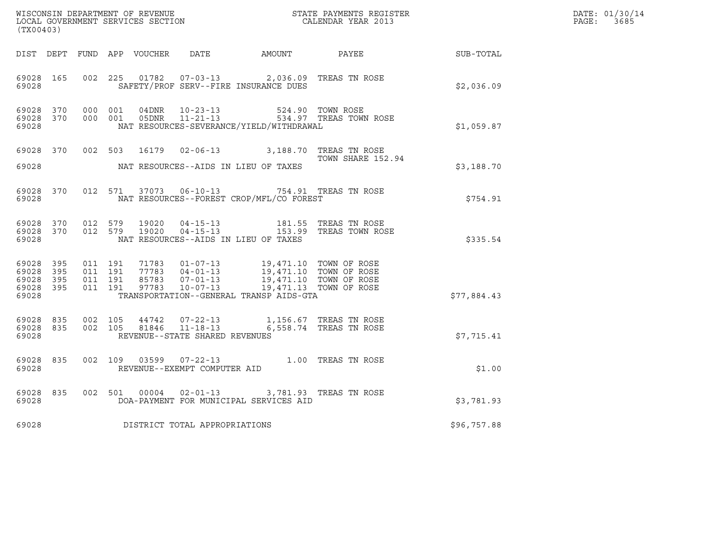| (TX00403)                                                 |                                        |  |                                |                                                                                                                                                                                                                                                                                                                       |                                                                                                                                                                                                        |             | DATE: 01/30/14<br>PAGE: 3685 |
|-----------------------------------------------------------|----------------------------------------|--|--------------------------------|-----------------------------------------------------------------------------------------------------------------------------------------------------------------------------------------------------------------------------------------------------------------------------------------------------------------------|--------------------------------------------------------------------------------------------------------------------------------------------------------------------------------------------------------|-------------|------------------------------|
|                                                           |                                        |  |                                |                                                                                                                                                                                                                                                                                                                       | DIST DEPT FUND APP VOUCHER DATE AMOUNT PAYEE PAYER SUB-TOTAL                                                                                                                                           |             |                              |
| 69028 165<br>69028                                        |                                        |  |                                | 002 225 01782 07-03-13 2,036.09 TREAS TN ROSE<br>SAFETY/PROF SERV--FIRE INSURANCE DUES                                                                                                                                                                                                                                |                                                                                                                                                                                                        | \$2,036.09  |                              |
| 69028                                                     | 69028 370 000 001<br>69028 370 000 001 |  |                                | NAT RESOURCES-SEVERANCE/YIELD/WITHDRAWAL                                                                                                                                                                                                                                                                              |                                                                                                                                                                                                        | \$1,059.87  |                              |
| 69028                                                     |                                        |  |                                | 69028 370 002 503 16179 02-06-13 3,188.70 TREAS TN ROSE<br>TOWN SHARE 152<br>NAT RESOURCES--AIDS IN LIEU OF TAXES                                                                                                                                                                                                     | TOWN SHARE 152.94                                                                                                                                                                                      | \$3,188.70  |                              |
| 69028                                                     |                                        |  |                                | 69028 370 012 571 37073 06-10-13 754.91 TREAS TN ROSE<br>NAT RESOURCES--FOREST CROP/MFL/CO FOREST                                                                                                                                                                                                                     |                                                                                                                                                                                                        | \$754.91    |                              |
| 69028                                                     |                                        |  |                                | NAT RESOURCES--AIDS IN LIEU OF TAXES                                                                                                                                                                                                                                                                                  | $\begin{array}{cccccc} 69028 & 370 & 012 & 579 & 19020 & 04-15-13 & & & 181.55 & \text{TREAS TN ROSE} \\ 69028 & 370 & 012 & 579 & 19020 & 04-15-13 & & & 153.99 & \text{TREAS TOWN ROSE} \end{array}$ | \$335.54    |                              |
| 69028 395<br>69028 395<br>69028 395<br>69028 395<br>69028 |                                        |  |                                | $\begin{array}{cccc} 011 & 191 & 71783 & 01-07-13 & 19,471.10 & TOWN OF ROSE \\ 011 & 191 & 77783 & 04-01-13 & 19,471.10 & TOWN OF ROSE \\ 011 & 191 & 85783 & 07-01-13 & 19,471.10 & TOWN OF ROSE \\ 011 & 191 & 97783 & 10-07-13 & 19,471.13 & TOWN OF ROSE \end{array}$<br>TRANSPORTATION--GENERAL TRANSP AIDS-GTA |                                                                                                                                                                                                        | \$77,884.43 |                              |
| 69028 835<br>69028                                        |                                        |  | REVENUE--STATE SHARED REVENUES | 69028 835 002 105 44742 07-22-13 1,156.67 TREAS TN ROSE<br>002 105 81846 11-18-13 6,558.74 TREAS TN ROSE                                                                                                                                                                                                              |                                                                                                                                                                                                        | \$7,715.41  |                              |
| 69028 835<br>69028                                        |                                        |  | REVENUE--EXEMPT COMPUTER AID   | 002 109 03599 07-22-13 1.00 TREAS TN ROSE                                                                                                                                                                                                                                                                             |                                                                                                                                                                                                        | \$1.00      |                              |
| 69028                                                     |                                        |  |                                | 69028 835 002 501 00004 02-01-13 3,781.93 TREAS TN ROSE<br>DOA-PAYMENT FOR MUNICIPAL SERVICES AID                                                                                                                                                                                                                     |                                                                                                                                                                                                        | \$3,781.93  |                              |
| 69028                                                     |                                        |  | DISTRICT TOTAL APPROPRIATIONS  |                                                                                                                                                                                                                                                                                                                       |                                                                                                                                                                                                        | \$96,757.88 |                              |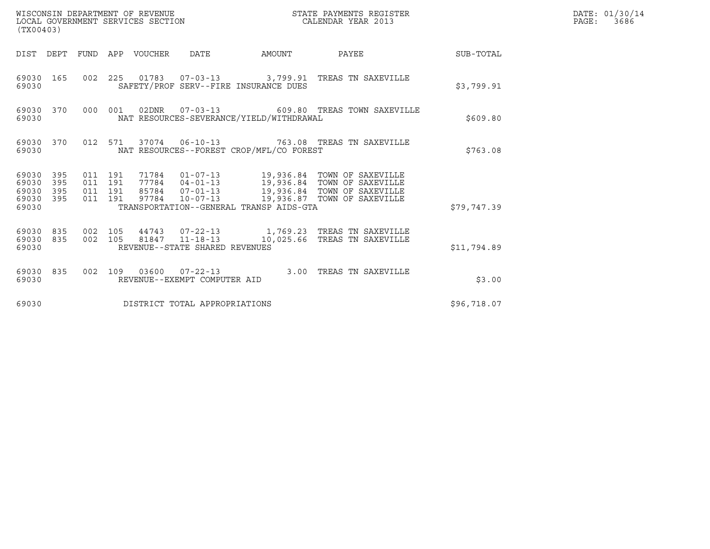| WISCONSIN DEPARTMENT OF REVENUE<br>(TX00403)                 | LOCAL GOVERNMENT SERVICES SECTION                                                                                                          | STATE PAYMENTS REGISTER<br>CALENDAR YEAR 2013 |             | DATE: 01/30/14<br>PAGE: 3686 |
|--------------------------------------------------------------|--------------------------------------------------------------------------------------------------------------------------------------------|-----------------------------------------------|-------------|------------------------------|
|                                                              | DIST DEPT FUND APP VOUCHER DATE                                                                                                            | AMOUNT PAYEE SUB-TOTAL                        |             |                              |
| 69030 165<br>69030                                           | 002 225 01783 07-03-13 3,799.91 TREAS TN SAXEVILLE<br>SAFETY/PROF SERV--FIRE INSURANCE DUES                                                |                                               | \$3,799.91  |                              |
| 69030 370<br>69030                                           | 000 001 02DNR 07-03-13 609.80 TREAS TOWN SAXEVILLE<br>NAT RESOURCES-SEVERANCE/YIELD/WITHDRAWAL                                             |                                               | \$609.80    |                              |
| 69030 370<br>69030                                           | 012 571 37074 06-10-13 763.08 TREAS TN SAXEVILLE<br>NAT RESOURCES--FOREST CROP/MFL/CO FOREST                                               |                                               | \$763.08    |                              |
| 69030 395<br>69030<br>395<br>69030 395<br>69030 395<br>69030 | 011 191<br>011 191<br>011 191<br>97784  10-07-13  19,936.87  TOWN OF SAXEVILLE<br>011 191<br>TRANSPORTATION--GENERAL TRANSP AIDS-GTA       |                                               | \$79,747.39 |                              |
| 69030 835 002 105<br>69030 835<br>69030                      | 44743  07-22-13    1,769.23    TREAS TN SAXEVILLE<br>002 105 81847 11-18-13 10,025.66 TREAS TN SAXEVILLE<br>REVENUE--STATE SHARED REVENUES |                                               | \$11,794.89 |                              |
| 69030 835<br>69030                                           | 002 109 03600 07-22-13 3.00 TREAS TN SAXEVILLE<br>REVENUE--EXEMPT COMPUTER AID                                                             |                                               | \$3.00      |                              |
| 69030                                                        | DISTRICT TOTAL APPROPRIATIONS                                                                                                              |                                               | \$96,718.07 |                              |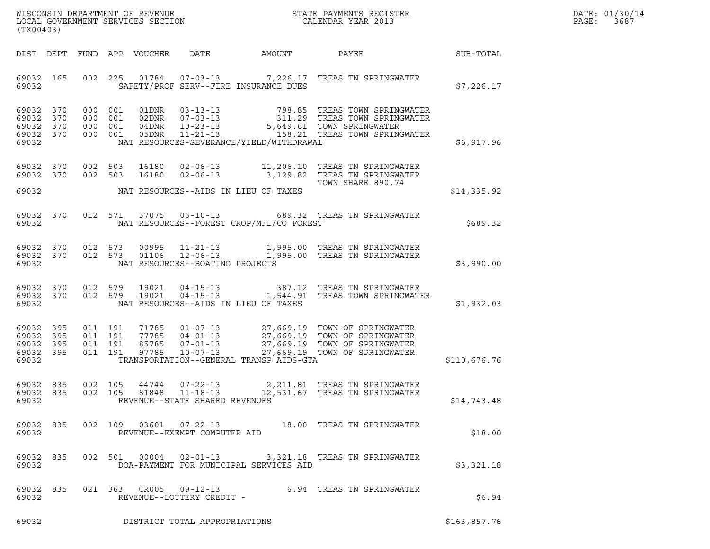| WISCONSIN DEPARTMENT OF REVENUE   | STATE PAYMENTS REGISTER | DATE: 01/30/14 |
|-----------------------------------|-------------------------|----------------|
| LOCAL GOVERNMENT SERVICES SECTION | CALENDAR YEAR 2013      | PAGE:<br>3687  |

|                                                           | WISCONSIN DEPARTMENT OF REVENUE<br>LOCAL GOVERNMENT SERVICES SECTION THE STATE PAYMENTS REGISTER<br>(TWOO403)<br>(TX00403) |  |                    |  |                                                  |                                          |                                                                                                                                                                                                                                                                         |              | DATE: 01/30/14<br>PAGE: 3687 |
|-----------------------------------------------------------|----------------------------------------------------------------------------------------------------------------------------|--|--------------------|--|--------------------------------------------------|------------------------------------------|-------------------------------------------------------------------------------------------------------------------------------------------------------------------------------------------------------------------------------------------------------------------------|--------------|------------------------------|
|                                                           |                                                                                                                            |  |                    |  |                                                  |                                          | DIST DEPT FUND APP VOUCHER DATE AMOUNT PAYEE SUB-TOTAL                                                                                                                                                                                                                  |              |                              |
| 69032 165<br>69032                                        |                                                                                                                            |  |                    |  |                                                  | SAFETY/PROF SERV--FIRE INSURANCE DUES    | 002 225 01784 07-03-13 7,226.17 TREAS TN SPRINGWATER                                                                                                                                                                                                                    | \$7,226.17   |                              |
| 69032 370<br>69032 370<br>69032 370<br>69032 370<br>69032 |                                                                                                                            |  |                    |  |                                                  | NAT RESOURCES-SEVERANCE/YIELD/WITHDRAWAL | 000 001 01DNR 03-13-13 798.85 TREAS TOWN SPRINGWATER<br>000 001 02DNR 07-03-13 311.29 TREAS TOWN SPRINGWATER<br>000 001 04DNR 10-23-13 5,649.61 TOWN SPRINGWATER<br>000 001 05DNR 11-21-13 158.21 TREAS TOWN SPRINGWATER                                                | \$6,917.96   |                              |
|                                                           |                                                                                                                            |  |                    |  |                                                  |                                          | 69032 370 002 503 16180 02-06-13 11,206.10 TREAS TN SPRINGWATER<br>69032 370 002 503 16180 02-06-13 3,129.82 TREAS TN SPRINGWATER                                                                                                                                       |              |                              |
|                                                           |                                                                                                                            |  |                    |  |                                                  |                                          | TOWN SHARE 890.74                                                                                                                                                                                                                                                       | \$14,335.92  |                              |
| 69032                                                     |                                                                                                                            |  |                    |  |                                                  | NAT RESOURCES--FOREST CROP/MFL/CO FOREST | 69032 370 012 571 37075 06-10-13 689.32 TREAS TN SPRINGWATER                                                                                                                                                                                                            | \$689.32     |                              |
| 69032                                                     |                                                                                                                            |  |                    |  | NAT RESOURCES--BOATING PROJECTS                  |                                          | 69032 370 012 573 00995 11-21-13 1,995.00 TREAS TN SPRINGWATER<br>69032 370 012 573 01106 12-06-13 1,995.00 TREAS TN SPRINGWATER                                                                                                                                        | \$3,990.00   |                              |
| 69032                                                     |                                                                                                                            |  |                    |  |                                                  | NAT RESOURCES--AIDS IN LIEU OF TAXES     | 69032 370 012 579 19021 04-15-13 387.12 TREAS TN SPRINGWATER<br>69032 370 012 579 19021 04-15-13 1,544.91 TREAS TOWN SPRINGWATER                                                                                                                                        | \$1,932.03   |                              |
| 69032 395<br>69032 395<br>69032 395<br>69032 395<br>69032 |                                                                                                                            |  |                    |  |                                                  |                                          | 011 191 71785 01-07-13 27,669.19 TOWN OF SPRINGWATER<br>011 191 77785 04-01-13 27,669.19 TOWN OF SPRINGWATER<br>011 191 85785 07-01-13 27,669.19 TOWN OF SPRINGWATER<br>011 191 97785 10-07-13 27,669.19 TOWN OF SPRINGWATER<br>TRANSPORTATION--GENERAL TRANSP AIDS-GTA | \$110,676.76 |                              |
| 69032 835<br>69032 835<br>69032                           |                                                                                                                            |  | 002 105<br>002 105 |  | $11 - 18 - 13$<br>REVENUE--STATE SHARED REVENUES |                                          | 44744  07-22-13  2,211.81 TREAS TN SPRINGWATER<br>81848  11-18-13  12,531.67 TREAS TN SPRINGWATER<br>12,531.67 TREAS TN SPRINGWATER                                                                                                                                     | \$14,743.48  |                              |
| 69032 835<br>69032                                        |                                                                                                                            |  |                    |  | REVENUE--EXEMPT COMPUTER AID                     |                                          | 002 109 03601 07-22-13 18.00 TREAS TN SPRINGWATER                                                                                                                                                                                                                       | \$18.00      |                              |
| 69032 835<br>69032                                        |                                                                                                                            |  |                    |  |                                                  | DOA-PAYMENT FOR MUNICIPAL SERVICES AID   | 002 501 00004 02-01-13 3,321.18 TREAS TN SPRINGWATER                                                                                                                                                                                                                    | \$3,321.18   |                              |
| 69032 835<br>69032                                        |                                                                                                                            |  |                    |  | REVENUE--LOTTERY CREDIT -                        |                                          | 021 363 CR005 09-12-13 6.94 TREAS TN SPRINGWATER                                                                                                                                                                                                                        | \$6.94       |                              |
| 69032                                                     |                                                                                                                            |  |                    |  | DISTRICT TOTAL APPROPRIATIONS                    |                                          |                                                                                                                                                                                                                                                                         | \$163,857.76 |                              |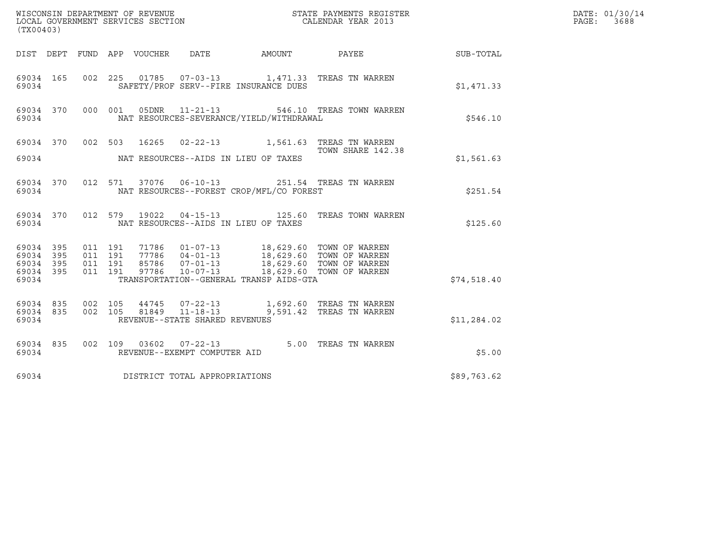| ${\tt WISCOONSIM\ DEPARTMENT\ OF\ REVENUE}\qquad \qquad {\tt STATE\ PAYMENTS\ REGISTER\ LOCAL\ GOVERNMENT\ SERVICES\ SECTION\qquad \qquad {\tt CALENDAR\ YEAR\ 2013}$<br>(TX00403)                                                                                                                                                       |                        |             | DATE: 01/30/14<br>PAGE:<br>3688 |
|------------------------------------------------------------------------------------------------------------------------------------------------------------------------------------------------------------------------------------------------------------------------------------------------------------------------------------------|------------------------|-------------|---------------------------------|
| DIST DEPT FUND APP VOUCHER DATE                                                                                                                                                                                                                                                                                                          | AMOUNT PAYEE SUB-TOTAL |             |                                 |
| 002 225 01785 07-03-13 1,471.33 TREAS TN WARREN<br>69034 165<br>SAFETY/PROF SERV--FIRE INSURANCE DUES<br>69034                                                                                                                                                                                                                           |                        | \$1,471.33  |                                 |
| 69034 370 000 001 05DNR 11-21-13 546.10 TREAS TOWN WARREN<br>NAT RESOURCES-SEVERANCE/YIELD/WITHDRAWAL<br>69034                                                                                                                                                                                                                           |                        | \$546.10    |                                 |
| 69034 370 002 503 16265 02-22-13 1,561.63 TREAS TN WARREN<br>3.1.58 TOWN SHARE 142.3                                                                                                                                                                                                                                                     | TOWN SHARE 142.38      |             |                                 |
| NAT RESOURCES--AIDS IN LIEU OF TAXES<br>69034                                                                                                                                                                                                                                                                                            |                        | \$1,561.63  |                                 |
| 69034 370 012 571 37076 06-10-13 251.54 TREAS TN WARREN<br>NAT RESOURCES--FOREST CROP/MFL/CO FOREST<br>69034                                                                                                                                                                                                                             |                        | \$251.54    |                                 |
| 69034 370 012 579 19022 04-15-13 125.60 TREAS TOWN WARREN<br>69034<br>NAT RESOURCES--AIDS IN LIEU OF TAXES                                                                                                                                                                                                                               |                        | \$125.60    |                                 |
| 71786  01-07-13  18,629.60  TOWN OF WARREN<br>77786  04-01-13  18,629.60  TOWN OF WARREN<br>85786  07-01-13  18,629.60  TOWN OF WARREN<br>97786  10-07-13  18,629.60  TOWN OF WARREN<br>69034 395<br>011 191<br>69034 395<br>011 191<br>011 191<br>69034 395<br>011 191<br>69034 395<br>TRANSPORTATION--GENERAL TRANSP AIDS-GTA<br>69034 |                        | \$74,518.40 |                                 |
| 002   105   44745   07-22-13   1,692.60   TREAS TN WARREN<br>002   105   81849   11-18-13   9,591.42   TREAS TN WARREN<br>69034 835<br>69034 835<br>REVENUE--STATE SHARED REVENUES<br>69034                                                                                                                                              |                        | \$11,284.02 |                                 |
| 69034 835 002 109 03602 07-22-13 5.00 TREAS TN WARREN<br>69034<br>REVENUE--EXEMPT COMPUTER AID                                                                                                                                                                                                                                           |                        | \$5.00      |                                 |
| DISTRICT TOTAL APPROPRIATIONS<br>69034                                                                                                                                                                                                                                                                                                   |                        | \$89,763.62 |                                 |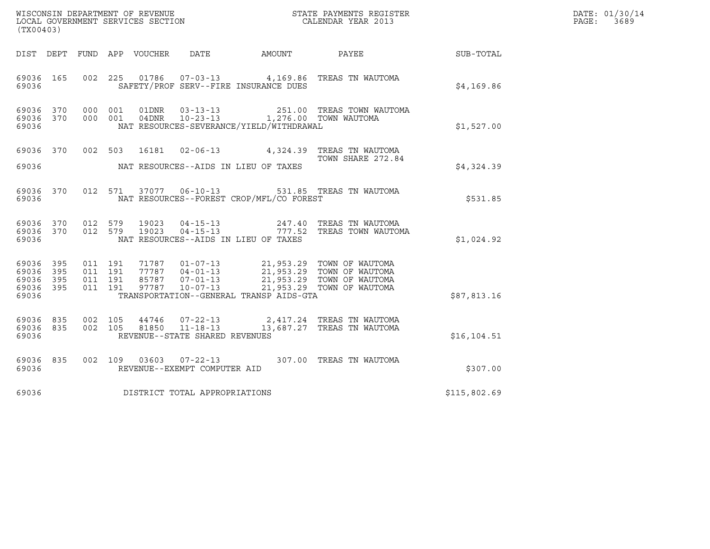| (TX00403)                                             |     |                                          |  |                |                                                                    |                                              |                                                                                                                                                                        |              | DATE: 01/30/14<br>PAGE:<br>3689 |
|-------------------------------------------------------|-----|------------------------------------------|--|----------------|--------------------------------------------------------------------|----------------------------------------------|------------------------------------------------------------------------------------------------------------------------------------------------------------------------|--------------|---------------------------------|
|                                                       |     |                                          |  |                |                                                                    | DIST DEPT FUND APP VOUCHER DATE AMOUNT PAYEE |                                                                                                                                                                        | SUB-TOTAL    |                                 |
| 69036 165<br>69036                                    |     |                                          |  |                |                                                                    | SAFETY/PROF SERV--FIRE INSURANCE DUES        | 002 225 01786 07-03-13 4,169.86 TREAS TN WAUTOMA                                                                                                                       | \$4,169.86   |                                 |
| 69036 370<br>69036                                    |     | 69036 370 000 001<br>000 001             |  | 04DNR          |                                                                    | NAT RESOURCES-SEVERANCE/YIELD/WITHDRAWAL     |                                                                                                                                                                        | \$1,527.00   |                                 |
| 69036 370 002 503<br>69036                            |     |                                          |  |                |                                                                    | NAT RESOURCES--AIDS IN LIEU OF TAXES         | 16181  02-06-13  4,324.39  TREAS TN WAUTOMA<br>TOWN SHARE 272.84                                                                                                       | \$4,324.39   |                                 |
| 69036 370<br>69036                                    |     |                                          |  |                |                                                                    | NAT RESOURCES--FOREST CROP/MFL/CO FOREST     | 012 571 37077 06-10-13 531.85 TREAS TN WAUTOMA                                                                                                                         | \$531.85     |                                 |
| 69036 370<br>69036 370 012 579<br>69036               |     | 012 579                                  |  | 19023<br>19023 |                                                                    | NAT RESOURCES--AIDS IN LIEU OF TAXES         | 04-15-13 247.40 TREAS TN WAUTOMA<br>04-15-13 777.52 TREAS TOWN WAUTOMA                                                                                                 | \$1,024.92   |                                 |
| 69036 395<br>69036<br>69036 395<br>69036 395<br>69036 | 395 | 011 191<br>011 191<br>011 191<br>011 191 |  | 97787          | $10 - 07 - 13$                                                     | TRANSPORTATION--GENERAL TRANSP AIDS-GTA      | 71787  01-07-13  21,953.29  TOWN OF WAUTOMA<br>77787  04-01-13  21,953.29  TOWN OF WAUTOMA<br>85787  07-01-13  21,953.29  TOWN OF WAUTOMA<br>21,953.29 TOWN OF WAUTOMA | \$87,813.16  |                                 |
| 69036 835<br>69036 835<br>69036                       |     | 002 105<br>002 105                       |  | 81850          | 44746 07-22-13<br>$11 - 18 - 13$<br>REVENUE--STATE SHARED REVENUES |                                              | 2,417.24 TREAS TN WAUTOMA<br>13,687.27 TREAS TN WAUTOMA                                                                                                                | \$16, 104.51 |                                 |
| 69036 835<br>69036                                    |     |                                          |  |                | REVENUE--EXEMPT COMPUTER AID                                       |                                              | 002 109 03603 07-22-13 307.00 TREAS TN WAUTOMA                                                                                                                         | \$307.00     |                                 |
| 69036                                                 |     |                                          |  |                | DISTRICT TOTAL APPROPRIATIONS                                      |                                              |                                                                                                                                                                        | \$115,802.69 |                                 |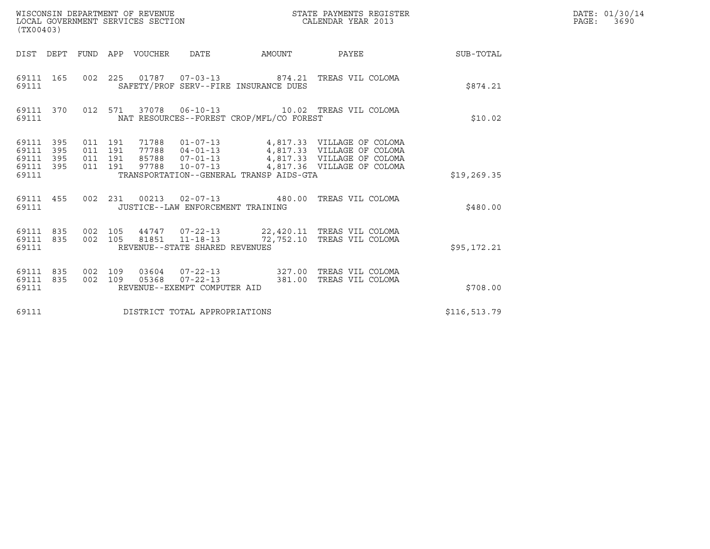|                                                   | ${\tt WISCONSIM DEPARTMENT OF REVENUE} {\tt NISCONMIN S REGIS:} {\tt LOCALENDAR YEAR 2013}$<br>LOCAL GOVERNMENT SERVICES SECTION<br>(TX00403) |                                          |  |                                 |                                          |  | STATE PAYMENTS REGISTER |                                                                                                                                                                                              |              | DATE: 01/30/14<br>PAGE: 3690 |
|---------------------------------------------------|-----------------------------------------------------------------------------------------------------------------------------------------------|------------------------------------------|--|---------------------------------|------------------------------------------|--|-------------------------|----------------------------------------------------------------------------------------------------------------------------------------------------------------------------------------------|--------------|------------------------------|
|                                                   |                                                                                                                                               |                                          |  | DIST DEPT FUND APP VOUCHER DATE |                                          |  |                         | AMOUNT PAYEE SUB-TOTAL                                                                                                                                                                       |              |                              |
| 69111 165<br>69111                                |                                                                                                                                               |                                          |  |                                 | SAFETY/PROF SERV--FIRE INSURANCE DUES    |  |                         | 002 225 01787 07-03-13 874.21 TREAS VIL COLOMA                                                                                                                                               | \$874.21     |                              |
| 69111                                             |                                                                                                                                               |                                          |  |                                 | NAT RESOURCES--FOREST CROP/MFL/CO FOREST |  |                         | 69111 370 012 571 37078 06-10-13 10.02 TREAS VIL COLOMA                                                                                                                                      | \$10.02      |                              |
| 69111 395<br>69111<br>69111<br>69111 395<br>69111 | 395<br>395                                                                                                                                    | 011 191<br>011 191<br>011 191<br>011 191 |  |                                 | TRANSPORTATION--GENERAL TRANSP AIDS-GTA  |  |                         | 71788  01-07-13  4,817.33  VILLAGE OF COLOMA<br>77788  04-01-13  4,817.33  VILLAGE OF COLOMA<br>85788  07-01-13  4,817.33  VILLAGE OF COLOMA<br>97788  10-07-13  4,817.36  VILLAGE OF COLOMA | \$19, 269.35 |                              |
| 69111                                             |                                                                                                                                               |                                          |  |                                 | JUSTICE--LAW ENFORCEMENT TRAINING        |  |                         | 69111 455 002 231 00213 02-07-13 480.00 TREAS VIL COLOMA                                                                                                                                     | \$480.00     |                              |
| 69111 835 002 105<br>69111 835<br>69111           |                                                                                                                                               | 002 105                                  |  |                                 | REVENUE--STATE SHARED REVENUES           |  |                         | 44747  07-22-13  22,420.11  TREAS VIL COLOMA<br>81851  11-18-13  72,752.10  TREAS VIL COLOMA                                                                                                 | \$95,172.21  |                              |
| 69111 835<br>69111 835<br>69111                   |                                                                                                                                               | 002 109<br>002 109                       |  |                                 | REVENUE--EXEMPT COMPUTER AID             |  |                         | 03604  07-22-13  327.00 TREAS VIL COLOMA<br>05368  07-22-13  381.00 TREAS VIL COLOMA                                                                                                         | \$708.00     |                              |
| 69111                                             |                                                                                                                                               |                                          |  |                                 | DISTRICT TOTAL APPROPRIATIONS            |  |                         |                                                                                                                                                                                              | \$116,513.79 |                              |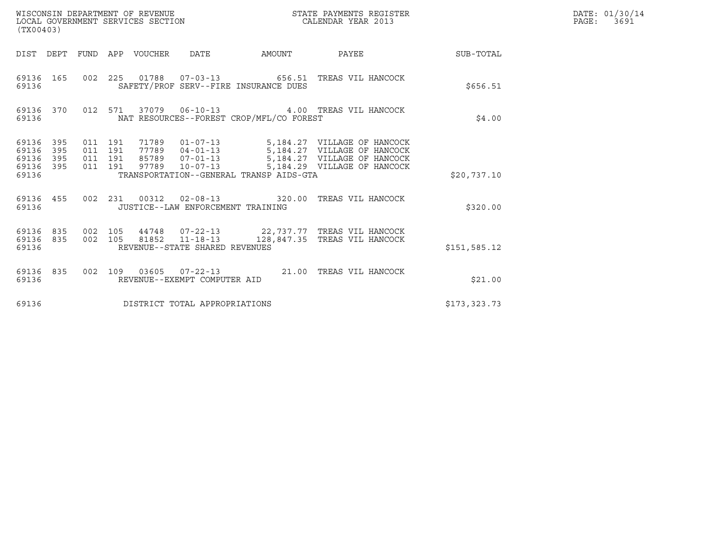| (TX00403)                                                       |                                          | WISCONSIN DEPARTMENT OF REVENUE<br>LOCAL GOVERNMENT SERVICES SECTION |                                   |                                          | STATE PAYMENTS REGISTER<br>CALENDAR YEAR 2013                                                                                                                                    |               | DATE: 01/30/14<br>PAGE:<br>3691 |
|-----------------------------------------------------------------|------------------------------------------|----------------------------------------------------------------------|-----------------------------------|------------------------------------------|----------------------------------------------------------------------------------------------------------------------------------------------------------------------------------|---------------|---------------------------------|
|                                                                 |                                          | DIST DEPT FUND APP VOUCHER DATE                                      |                                   |                                          | AMOUNT PAYEE SUB-TOTAL                                                                                                                                                           |               |                                 |
| 69136 165<br>69136                                              |                                          |                                                                      |                                   | SAFETY/PROF SERV--FIRE INSURANCE DUES    | 002  225  01788  07-03-13  656.51  TREAS VIL HANCOCK                                                                                                                             | \$656.51      |                                 |
| 69136 370<br>69136                                              |                                          |                                                                      |                                   | NAT RESOURCES--FOREST CROP/MFL/CO FOREST | 012 571 37079 06-10-13 4.00 TREAS VIL HANCOCK                                                                                                                                    | \$4.00        |                                 |
| 69136 395<br>69136<br>395<br>69136<br>395<br>69136 395<br>69136 | 011 191<br>011 191<br>011 191<br>011 191 |                                                                      | 97789 10-07-13                    | TRANSPORTATION--GENERAL TRANSP AIDS-GTA  | 71789  01-07-13  5,184.27  VILLAGE OF HANCOCK<br>77789  04-01-13  5,184.27  VILLAGE OF HANCOCK<br>85789  07-01-13   5,184.27   VILLAGE OF HANCOCK<br>5,184.29 VILLAGE OF HANCOCK | \$20,737.10   |                                 |
| 69136 455<br>69136                                              |                                          |                                                                      | JUSTICE--LAW ENFORCEMENT TRAINING |                                          | 002 231 00312 02-08-13 320.00 TREAS VIL HANCOCK                                                                                                                                  | \$320.00      |                                 |
| 69136 835<br>69136 835<br>69136                                 | 002 105                                  |                                                                      | REVENUE--STATE SHARED REVENUES    |                                          | 44748 07-22-13 22,737.77 TREAS VIL HANCOCK<br>002 105 81852 11-18-13 128,847.35 TREAS VIL HANCOCK                                                                                | \$151, 585.12 |                                 |
| 69136 835<br>69136                                              |                                          |                                                                      | REVENUE--EXEMPT COMPUTER AID      |                                          | 002 109 03605 07-22-13 21.00 TREAS VIL HANCOCK                                                                                                                                   | \$21.00       |                                 |
| 69136                                                           |                                          | DISTRICT TOTAL APPROPRIATIONS                                        |                                   |                                          |                                                                                                                                                                                  | \$173,323.73  |                                 |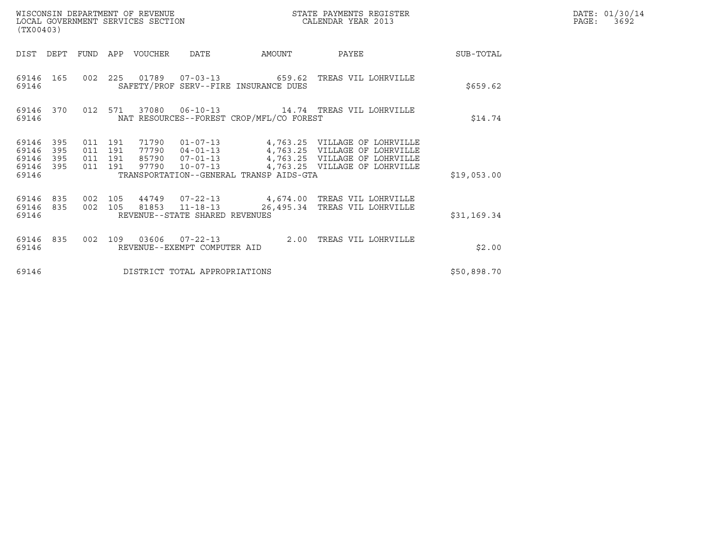| (TX00403)                                                             |                                          | WISCONSIN DEPARTMENT OF REVENUE<br>LOCAL GOVERNMENT SERVICES SECTION |                                                  |                                          | STATE PAYMENTS REGISTER<br>CALENDAR YEAR 2013                                                                                                                                 |             | DATE: 01/30/14<br>PAGE:<br>3692 |
|-----------------------------------------------------------------------|------------------------------------------|----------------------------------------------------------------------|--------------------------------------------------|------------------------------------------|-------------------------------------------------------------------------------------------------------------------------------------------------------------------------------|-------------|---------------------------------|
| DIST DEPT                                                             | FUND                                     | APP VOUCHER                                                          | DATE                                             | AMOUNT                                   | PAYEE                                                                                                                                                                         | SUB-TOTAL   |                                 |
| 69146<br>165<br>69146                                                 |                                          |                                                                      |                                                  | SAFETY/PROF SERV--FIRE INSURANCE DUES    | 002  225  01789  07-03-13  659.62  TREAS VIL LOHRVILLE                                                                                                                        | \$659.62    |                                 |
| 69146 370<br>69146                                                    |                                          | 012 571<br>37080                                                     |                                                  | NAT RESOURCES--FOREST CROP/MFL/CO FOREST |                                                                                                                                                                               | \$14.74     |                                 |
| 395<br>69146<br>395<br>69146<br>395<br>69146<br>395<br>69146<br>69146 | 011 191<br>011 191<br>011 191<br>011 191 | 71790<br>77790<br>97790                                              |                                                  | TRANSPORTATION--GENERAL TRANSP AIDS-GTA  | 01-07-13 4,763.25 VILLAGE OF LOHRVILLE<br>04-01-13 4,763.25 VILLAGE OF LOHRVILLE<br>85790  07-01-13  4,763.25  VILLAGE OF LOHRVILLE<br>10-07-13 4,763.25 VILLAGE OF LOHRVILLE | \$19,053.00 |                                 |
| 69146<br>835<br>69146<br>835<br>69146                                 | 002 105<br>002 105                       |                                                                      | 81853 11-18-13<br>REVENUE--STATE SHARED REVENUES |                                          | 44749  07-22-13  4,674.00 TREAS VIL LOHRVILLE<br>26,495.34 TREAS VIL LOHRVILLE                                                                                                | \$31,169.34 |                                 |
| 69146<br>835<br>69146                                                 | 002                                      | 109                                                                  | 03606  07-22-13<br>REVENUE--EXEMPT COMPUTER AID  |                                          | 2.00 TREAS VIL LOHRVILLE                                                                                                                                                      | \$2.00      |                                 |
| 69146                                                                 |                                          |                                                                      | DISTRICT TOTAL APPROPRIATIONS                    |                                          |                                                                                                                                                                               | \$50,898.70 |                                 |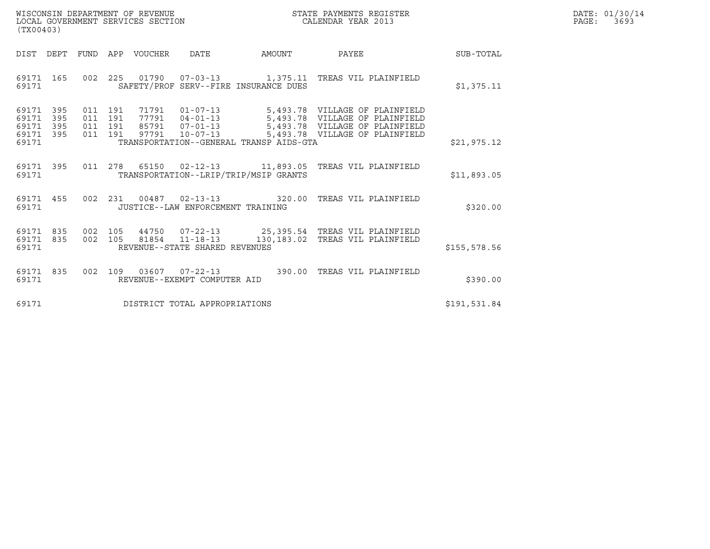| WISCONSIN DEPARTMENT OF REVENUE   | STATE PAYMENTS REGISTER | DATE: 01/30/14 |
|-----------------------------------|-------------------------|----------------|
| LOCAL GOVERNMENT SERVICES SECTION | CALENDAR YEAR 2013      | PAGE:<br>3693  |

| (TX00403)                                                             |                                                                                          |                                                                                                                 |        |                                                                                                                                      |               |
|-----------------------------------------------------------------------|------------------------------------------------------------------------------------------|-----------------------------------------------------------------------------------------------------------------|--------|--------------------------------------------------------------------------------------------------------------------------------------|---------------|
| DIST<br>DEPT                                                          | FUND<br>VOUCHER<br>APP                                                                   | DATE                                                                                                            | AMOUNT | PAYEE                                                                                                                                | SUB-TOTAL     |
| 165<br>69171<br>69171                                                 | 002<br>225                                                                               | SAFETY/PROF SERV--FIRE INSURANCE DUES                                                                           |        | 01790  07-03-13  1,375.11 TREAS VIL PLAINFIELD                                                                                       | \$1,375.11    |
| 395<br>69171<br>69171<br>395<br>69171<br>395<br>69171<br>395<br>69171 | 011<br>191<br>71791<br>77791<br>011<br>191<br>011<br>191<br>85791<br>191<br>97791<br>011 | $01 - 07 - 13$<br>$04 - 01 - 13$<br>$07 - 01 - 13$<br>$10 - 07 - 13$<br>TRANSPORTATION--GENERAL TRANSP AIDS-GTA |        | 5,493.78 VILLAGE OF PLAINFIELD<br>5,493.78 VILLAGE OF PLAINFIELD<br>5,493.78 VILLAGE OF PLAINFIELD<br>5,493.78 VILLAGE OF PLAINFIELD | \$21,975.12   |
| 69171<br>395<br>69171                                                 | 011<br>278                                                                               | TRANSPORTATION--LRIP/TRIP/MSIP GRANTS                                                                           |        | 65150  02-12-13   11,893.05   TREAS VIL PLAINFIELD                                                                                   | \$11,893.05   |
| 455<br>69171<br>69171                                                 | 002<br>231                                                                               | 00487  02-13-13  320.00<br>JUSTICE--LAW ENFORCEMENT TRAINING                                                    |        | TREAS VIL PLAINFIELD                                                                                                                 | \$320.00      |
| 835<br>69171<br>835<br>69171<br>69171                                 | 002<br>105<br>002<br>105<br>81854                                                        | $11 - 18 - 13$<br>REVENUE--STATE SHARED REVENUES                                                                |        | 44750  07-22-13  25,395.54  TREAS VIL PLAINFIELD<br>130,183.02 TREAS VIL PLAINFIELD                                                  | \$155, 578.56 |
| 69171<br>835<br>69171                                                 | 002<br>109                                                                               | 03607 07-22-13<br>REVENUE--EXEMPT COMPUTER AID                                                                  |        | 390.00 TREAS VIL PLAINFIELD                                                                                                          | \$390.00      |
| 69171                                                                 |                                                                                          | DISTRICT TOTAL APPROPRIATIONS                                                                                   |        |                                                                                                                                      | \$191,531.84  |

(TX00403)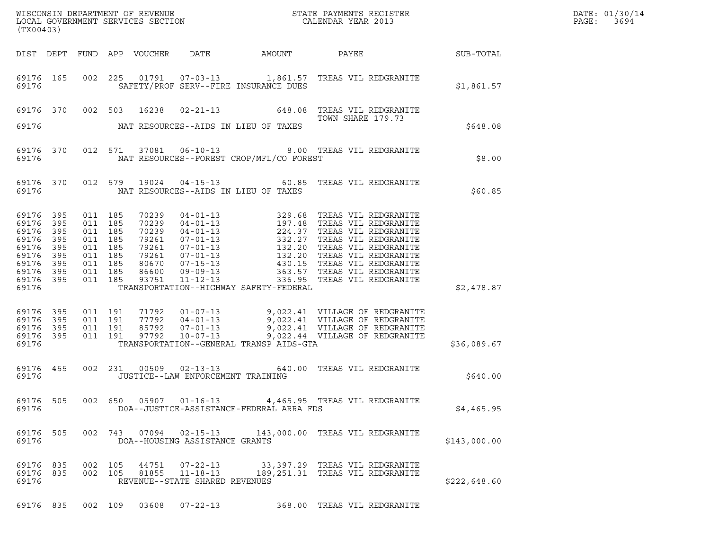| DATE: | 01/30/14 |
|-------|----------|
| PAGE: | 3694     |

| (TX00403)                                                                         |                                                            |                                                                                                 |                    |                |                                                              |                                          |                                                                                                                                                                                                                           |              | DATE: 01/30/14<br>PAGE: 3694 |
|-----------------------------------------------------------------------------------|------------------------------------------------------------|-------------------------------------------------------------------------------------------------|--------------------|----------------|--------------------------------------------------------------|------------------------------------------|---------------------------------------------------------------------------------------------------------------------------------------------------------------------------------------------------------------------------|--------------|------------------------------|
|                                                                                   |                                                            |                                                                                                 |                    |                |                                                              |                                          | DIST DEPT FUND APP VOUCHER DATE AMOUNT PAYEE SUB-TOTAL                                                                                                                                                                    |              |                              |
| 69176                                                                             |                                                            |                                                                                                 |                    |                |                                                              | SAFETY/PROF SERV--FIRE INSURANCE DUES    | 69176 165 002 225 01791 07-03-13 1,861.57 TREAS VIL REDGRANITE                                                                                                                                                            | \$1,861.57   |                              |
| 69176                                                                             |                                                            |                                                                                                 |                    |                |                                                              | NAT RESOURCES--AIDS IN LIEU OF TAXES     | 69176 370 002 503 16238 02-21-13 648.08 TREAS VIL REDGRANITE<br>TOWN SHARE 179.73                                                                                                                                         | \$648.08     |                              |
| 69176                                                                             |                                                            |                                                                                                 |                    |                |                                                              | NAT RESOURCES--FOREST CROP/MFL/CO FOREST | 69176 370 012 571 37081 06-10-13 8.00 TREAS VIL REDGRANITE                                                                                                                                                                | \$8.00       |                              |
|                                                                                   |                                                            |                                                                                                 |                    |                |                                                              |                                          | 69176 370 012 579 19024 04-15-13 60.85 TREAS VIL REDGRANITE                                                                                                                                                               | \$60.85      |                              |
| 69176<br>69176<br>69176<br>69176<br>69176<br>69176<br>69176<br>69176 395<br>69176 | 395<br>395<br>395<br>395<br>395<br>395<br>395<br>69176 395 | 011 185<br>011 185<br>011 185<br>011 185<br>011 185<br>011 185<br>011 185<br>011 185<br>011 185 |                    |                |                                                              | TRANSPORTATION--HIGHWAY SAFETY-FEDERAL   |                                                                                                                                                                                                                           | \$2,478.87   |                              |
| 69176<br>69176<br>69176 395<br>69176 395<br>69176                                 | 395<br>395                                                 | 011 191<br>011 191                                                                              | 011 191<br>011 191 |                |                                                              | TRANSPORTATION--GENERAL TRANSP AIDS-GTA  | 71792     01-07-13     9,022.41     VILLAGE OF REDGRANITE<br>77792     04-01-13     9,022.41     VILLAGE OF REDGRANITE<br>85792     07-01-13     9,022.41     VILLAGE OF REDGRANITE<br>9,022.44     VILLAGE OF REDGRANITE | \$36,089.67  |                              |
| 69176                                                                             | 69176 455                                                  |                                                                                                 |                    |                | JUSTICE--LAW ENFORCEMENT TRAINING                            |                                          | 002 231 00509 02-13-13 640.00 TREAS VIL REDGRANITE                                                                                                                                                                        | \$640.00     |                              |
| 69176 505<br>69176                                                                |                                                            |                                                                                                 |                    |                |                                                              | DOA--JUSTICE-ASSISTANCE-FEDERAL ARRA FDS | 002 650 05907 01-16-13 4,465.95 TREAS VIL REDGRANITE                                                                                                                                                                      | \$4,465.95   |                              |
| 69176 505<br>69176                                                                |                                                            |                                                                                                 |                    |                | DOA--HOUSING ASSISTANCE GRANTS                               |                                          | 002 743 07094 02-15-13 143,000.00 TREAS VIL REDGRANITE                                                                                                                                                                    | \$143,000.00 |                              |
| 69176 835<br>69176 835<br>69176                                                   |                                                            | 002 105                                                                                         | 002 105            | 44751<br>81855 | 07-22-13<br>$11 - 18 - 13$<br>REVENUE--STATE SHARED REVENUES |                                          | 33,397.29 TREAS VIL REDGRANITE<br>189,251.31 TREAS VIL REDGRANITE                                                                                                                                                         | \$222,648.60 |                              |
|                                                                                   |                                                            |                                                                                                 |                    |                |                                                              |                                          | 69176 835 002 109 03608 07-22-13 368.00 TREAS VIL REDGRANITE                                                                                                                                                              |              |                              |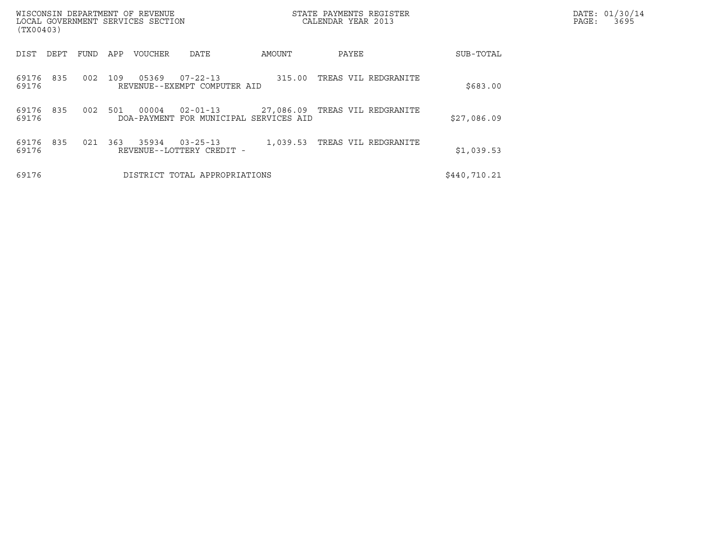| WISCONSIN DEPARTMENT OF REVENUE<br>LOCAL GOVERNMENT SERVICES SECTION<br>(TX00403) |      |                             |                                              |          | STATE PAYMENTS REGISTER<br>CALENDAR YEAR 2013 |              | DATE: 01/30/14<br>PAGE:<br>3695 |
|-----------------------------------------------------------------------------------|------|-----------------------------|----------------------------------------------|----------|-----------------------------------------------|--------------|---------------------------------|
| DIST<br>DEPT                                                                      | FUND | APP<br>VOUCHER              | DATE                                         | AMOUNT   | PAYEE                                         | SUB-TOTAL    |                                 |
| 835<br>69176<br>69176                                                             | 002  | 05369<br>109                | 07-22-13<br>REVENUE--EXEMPT COMPUTER AID     | 315.00   | TREAS VIL REDGRANITE                          | \$683.00     |                                 |
| 69176<br>835<br>69176                                                             | 002  | 501<br>00004<br>DOA-PAYMENT | $02 - 01 - 13$<br>FOR MUNICIPAL SERVICES AID |          | 27,086.09 TREAS VIL REDGRANITE                | \$27,086.09  |                                 |
| 69176<br>835<br>69176                                                             | 021  | 363<br>35934                | $03 - 25 - 13$<br>REVENUE--LOTTERY CREDIT -  | 1,039.53 | TREAS VIL REDGRANITE                          | \$1,039.53   |                                 |
| 69176                                                                             |      |                             | DISTRICT TOTAL APPROPRIATIONS                |          |                                               | \$440,710.21 |                                 |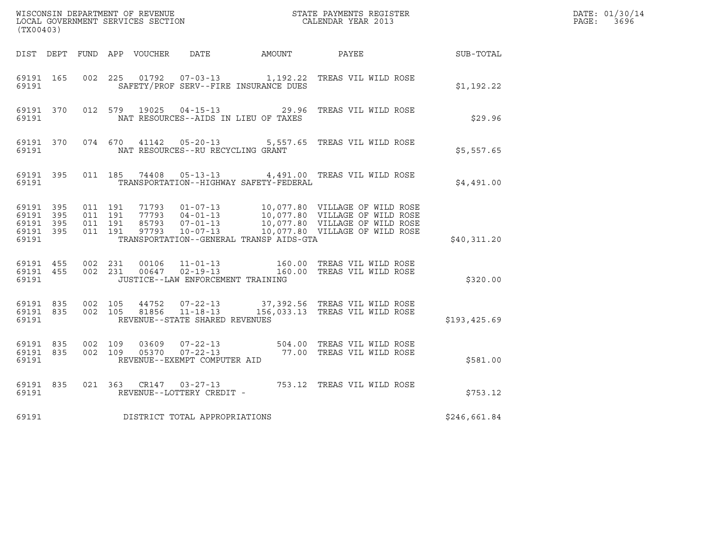| WISCONSIN DEPARTMENT OF REVENUE<br>LOCAL GOVERNMENT SERVICES SECTION<br>CALENDAR YEAR 2013<br>(TX00403) |           |                                          |         |                |                                                                    |                                              |                                                                                                                                       |              | DATE: 01/30/14<br>PAGE: 3696 |
|---------------------------------------------------------------------------------------------------------|-----------|------------------------------------------|---------|----------------|--------------------------------------------------------------------|----------------------------------------------|---------------------------------------------------------------------------------------------------------------------------------------|--------------|------------------------------|
|                                                                                                         |           |                                          |         |                |                                                                    | DIST DEPT FUND APP VOUCHER DATE AMOUNT PAYEE |                                                                                                                                       | SUB-TOTAL    |                              |
| 69191 165<br>69191                                                                                      |           | 002 225                                  |         |                |                                                                    | SAFETY/PROF SERV--FIRE INSURANCE DUES        |                                                                                                                                       | \$1,192.22   |                              |
| 69191                                                                                                   |           |                                          |         |                |                                                                    | NAT RESOURCES--AIDS IN LIEU OF TAXES         | 69191 370 012 579 19025 04-15-13 29.96 TREAS VIL WILD ROSE                                                                            | \$29.96      |                              |
|                                                                                                         |           |                                          |         |                | 69191 NAT RESOURCES--RU RECYCLING GRANT                            |                                              | 69191 370 074 670 41142 05-20-13 5,557.65 TREAS VIL WILD ROSE                                                                         | \$5,557.65   |                              |
| 69191                                                                                                   |           |                                          |         |                |                                                                    | TRANSPORTATION--HIGHWAY SAFETY-FEDERAL       | 69191 395 011 185 74408 05-13-13 4,491.00 TREAS VIL WILD ROSE                                                                         | \$4,491.00   |                              |
| 69191 395<br>69191 395<br>69191 395<br>69191 395<br>69191                                               |           | 011 191<br>011 191<br>011 191<br>011 191 |         |                |                                                                    | TRANSPORTATION--GENERAL TRANSP AIDS-GTA      |                                                                                                                                       | \$40,311.20  |                              |
| 69191 455<br>69191                                                                                      |           | 69191 455 002 231<br>002 231             |         |                | JUSTICE--LAW ENFORCEMENT TRAINING                                  |                                              | 00106    11-01-13                    160.00   TREAS VIL WILD ROSE<br>00647    02-19-13                   160.00   TREAS VIL WILD ROSE | \$320.00     |                              |
| 69191                                                                                                   | 69191 835 | 69191 835 002 105                        | 002 105 |                | 44752 07-22-13<br>81856 11-18-13<br>REVENUE--STATE SHARED REVENUES |                                              | 37,392.56   TREAS VIL WILD ROSE<br>156,033.13 TREAS VIL WILD ROSE                                                                     | \$193,425.69 |                              |
| 69191 835<br>69191                                                                                      |           | 69191 835 002 109                        | 002 109 | 03609<br>05370 | REVENUE--EXEMPT COMPUTER AID                                       |                                              | 07-22-13 504.00 TREAS VIL WILD ROSE<br>07-22-13 77.00 TREAS VIL WILD ROSE                                                             | \$581.00     |                              |
| 69191 835<br>69191                                                                                      |           |                                          |         |                | REVENUE--LOTTERY CREDIT -                                          |                                              | 021 363 CR147 03-27-13 753.12 TREAS VIL WILD ROSE                                                                                     | \$753.12     |                              |
| 69191                                                                                                   |           |                                          |         |                | DISTRICT TOTAL APPROPRIATIONS                                      |                                              |                                                                                                                                       | \$246,661.84 |                              |